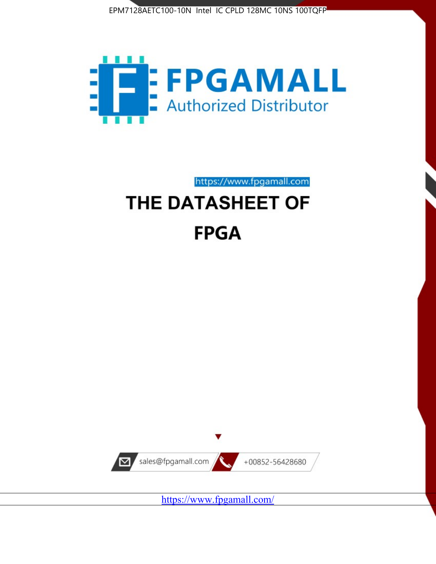



https://www.fpgamall.com THE DATASHEET OF

# **FPGA**



<https://www.fpgamall.com/>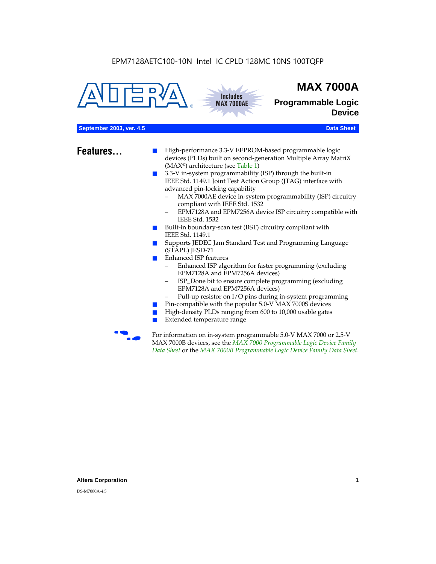



# **MAX 7000A**

**Programmable Logic Device**

# **September 2003, ver. 4.5** Data Sheet

- **Features...** High-performance 3.3-V EEPROM-based programmable logic devices (PLDs) built on second-generation Multiple Array MatriX (MAX®) architecture (see Table 1)
	- 3.3-V in-system programmability (ISP) through the built-in IEEE Std. 1149.1 Joint Test Action Group (JTAG) interface with advanced pin-locking capability
		- MAX 7000AE device in-system programmability (ISP) circuitry compliant with IEEE Std. 1532
		- EPM7128A and EPM7256A device ISP circuitry compatible with IEEE Std. 1532
	- Built-in boundary-scan test (BST) circuitry compliant with IEEE Std. 1149.1
	- Supports JEDEC Jam Standard Test and Programming Language (STAPL) JESD-71
	- Enhanced ISP features
		- Enhanced ISP algorithm for faster programming (excluding EPM7128A and EPM7256A devices)
		- ISP\_Done bit to ensure complete programming (excluding EPM7128A and EPM7256A devices)
		- Pull-up resistor on I/O pins during in-system programming
	- Pin-compatible with the popular 5.0-V MAX 7000S devices
	- High-density PLDs ranging from 600 to 10,000 usable gates
	- Extended temperature range

For information on in-system programmable 5.0-V MAX 7000 or 2.5-V MAX 7000B devices, see the *MAX 7000 Programmable Logic Device Family Data Sheet* or the *MAX 7000B Programmable Logic Device Family Data Sheet*.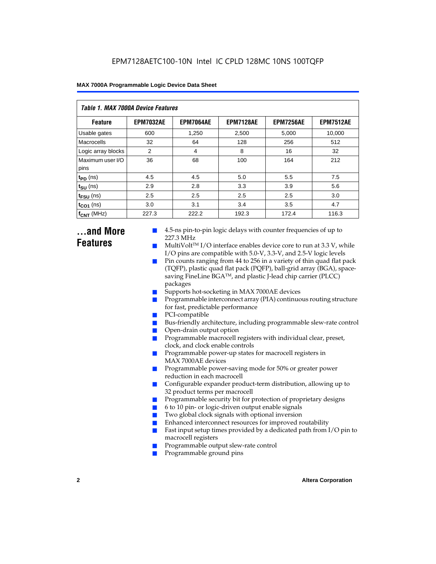| Table 1. MAX 7000A Device Features |                  |                  |                  |                  |                  |  |  |  |
|------------------------------------|------------------|------------------|------------------|------------------|------------------|--|--|--|
| <b>Feature</b>                     | <b>EPM7032AE</b> | <b>EPM7064AE</b> | <b>EPM7128AE</b> | <b>EPM7256AE</b> | <b>EPM7512AE</b> |  |  |  |
| Usable gates                       | 600              | 1,250            | 2,500            | 5,000            | 10,000           |  |  |  |
| Macrocells                         | 32               | 64               | 128              | 256              | 512              |  |  |  |
| Logic array blocks                 | 2                | 4                | 8                | 16               | 32               |  |  |  |
| Maximum user I/O<br>pins           | 36               | 68               | 100              | 164              | 212              |  |  |  |
| $t_{PD}$ (ns)                      | 4.5              | 4.5              | 5.0              | 5.5              | 7.5              |  |  |  |
| $t_{\text{SU}}$ (ns)               | 2.9              | 2.8              | 3.3              | 3.9              | 5.6              |  |  |  |
| $t_{\text{FSU}}$ (ns)              | 2.5              | 2.5              | 2.5              | 2.5              | 3.0              |  |  |  |
| $t_{CO1}$ (ns)                     | 3.0              | 3.1              | 3.4              | 3.5              | 4.7              |  |  |  |
| $f_{CNT}$ (MHz)                    | 227.3            | 222.2            | 192.3            | 172.4            | 116.3            |  |  |  |

# **...and More Features**

- 4.5-ns pin-to-pin logic delays with counter frequencies of up to 227.3 MHz
- $Multivolt<sup>TM</sup> I/O interface enables device core to run at 3.3 V, while$ I/O pins are compatible with 5.0-V, 3.3-V, and 2.5-V logic levels
- Pin counts ranging from 44 to 256 in a variety of thin quad flat pack (TQFP), plastic quad flat pack (PQFP), ball-grid array (BGA), spacesaving FineLine BGATM, and plastic J-lead chip carrier (PLCC) packages
- Supports hot-socketing in MAX 7000AE devices
- Programmable interconnect array (PIA) continuous routing structure for fast, predictable performance
- PCI-compatible
- Bus-friendly architecture, including programmable slew-rate control
- Open-drain output option
- Programmable macrocell registers with individual clear, preset, clock, and clock enable controls
- Programmable power-up states for macrocell registers in MAX 7000AE devices
- Programmable power-saving mode for 50% or greater power reduction in each macrocell
- Configurable expander product-term distribution, allowing up to 32 product terms per macrocell
- Programmable security bit for protection of proprietary designs
- 6 to 10 pin- or logic-driven output enable signals
- Two global clock signals with optional inversion
- Enhanced interconnect resources for improved routability
- Fast input setup times provided by a dedicated path from  $I/O$  pin to macrocell registers
- Programmable output slew-rate control
- Programmable ground pins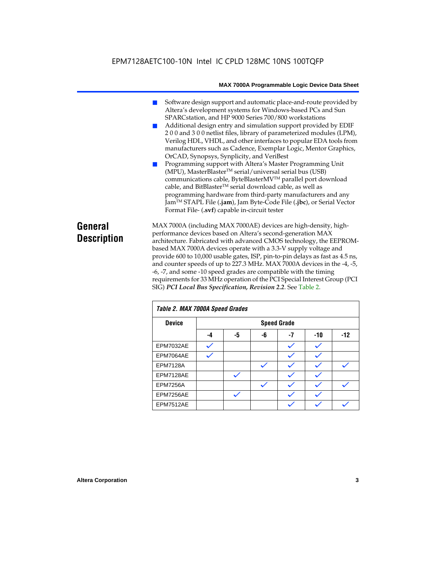- Software design support and automatic place-and-route provided by Altera's development systems for Windows-based PCs and Sun SPARCstation, and HP 9000 Series 700/800 workstations
- Additional design entry and simulation support provided by EDIF 2 0 0 and 3 0 0 netlist files, library of parameterized modules (LPM), Verilog HDL, VHDL, and other interfaces to popular EDA tools from manufacturers such as Cadence, Exemplar Logic, Mentor Graphics, OrCAD, Synopsys, Synplicity, and VeriBest
- Programming support with Altera's Master Programming Unit (MPU), MasterBlaster™ serial/universal serial bus (USB) communications cable, ByteBlasterMVTM parallel port download cable, and BitBlaster™ serial download cable, as well as programming hardware from third-party manufacturers and any JamTM STAPL File (**.jam**), Jam Byte-Code File (**.jbc**), or Serial Vector Format File- (**.svf**) capable in-circuit tester

# **General Description**

MAX 7000A (including MAX 7000AE) devices are high-density, highperformance devices based on Altera's second-generation MAX architecture. Fabricated with advanced CMOS technology, the EEPROMbased MAX 7000A devices operate with a 3.3-V supply voltage and provide 600 to 10,000 usable gates, ISP, pin-to-pin delays as fast as 4.5 ns, and counter speeds of up to 227.3 MHz. MAX 7000A devices in the -4, -5, -6, -7, and some -10 speed grades are compatible with the timing requirements for 33 MHz operation of the PCI Special Interest Group (PCI SIG) *PCI Local Bus Specification, Revision 2.2*. See Table 2.

| Table 2. MAX 7000A Speed Grades |    |    |    |                    |       |       |
|---------------------------------|----|----|----|--------------------|-------|-------|
| <b>Device</b>                   |    |    |    | <b>Speed Grade</b> |       |       |
|                                 | -4 | -5 | -6 | -7                 | $-10$ | $-12$ |
| EPM7032AE                       |    |    |    |                    |       |       |
| EPM7064AE                       |    |    |    |                    |       |       |
| <b>EPM7128A</b>                 |    |    |    |                    |       |       |
| EPM7128AE                       |    |    |    |                    |       |       |
| <b>EPM7256A</b>                 |    |    |    |                    |       |       |
| EPM7256AE                       |    |    |    |                    |       |       |
| EPM7512AE                       |    |    |    |                    |       |       |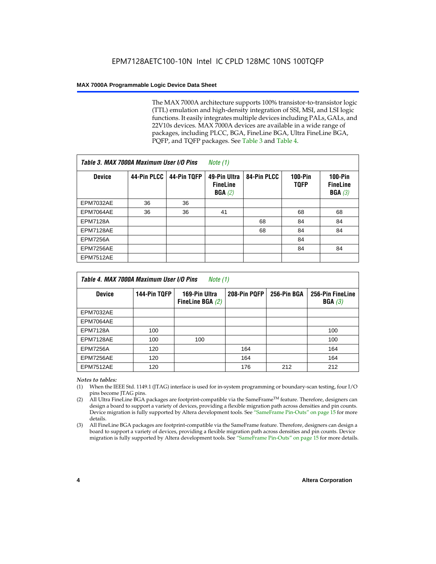The MAX 7000A architecture supports 100% transistor-to-transistor logic (TTL) emulation and high-density integration of SSI, MSI, and LSI logic functions. It easily integrates multiple devices including PALs, GALs, and 22V10s devices. MAX 7000A devices are available in a wide range of packages, including PLCC, BGA, FineLine BGA, Ultra FineLine BGA, PQFP, and TQFP packages. See Table 3 and Table 4.

| Table 3. MAX 7000A Maximum User I/O Pins |             |             | Note $(1)$                                |             |                               |                                           |
|------------------------------------------|-------------|-------------|-------------------------------------------|-------------|-------------------------------|-------------------------------------------|
| <b>Device</b>                            | 44-Pin PLCC | 44-Pin TQFP | 49-Pin Ultra<br><b>FineLine</b><br>BGA(2) | 84-Pin PLCC | <b>100-Pin</b><br><b>TQFP</b> | $100-Pin$<br><b>FineLine</b><br>BGA $(3)$ |
| EPM7032AE                                | 36          | 36          |                                           |             |                               |                                           |
| EPM7064AE                                | 36          | 36          | 41                                        |             | 68                            | 68                                        |
| <b>EPM7128A</b>                          |             |             |                                           | 68          | 84                            | 84                                        |
| EPM7128AE                                |             |             |                                           | 68          | 84                            | 84                                        |
| <b>EPM7256A</b>                          |             |             |                                           |             | 84                            |                                           |
| EPM7256AE                                |             |             |                                           |             | 84                            | 84                                        |
| <b>EPM7512AE</b>                         |             |             |                                           |             |                               |                                           |

| Table 4. MAX 7000A Maximum User I/O Pins<br>Note (1) |              |                                     |              |             |                            |  |  |
|------------------------------------------------------|--------------|-------------------------------------|--------------|-------------|----------------------------|--|--|
| <b>Device</b>                                        | 144-Pin TQFP | 169-Pin Ultra<br>FineLine BGA $(2)$ | 208-Pin PQFP | 256-Pin BGA | 256-Pin FineLine<br>BGA(3) |  |  |
| EPM7032AE                                            |              |                                     |              |             |                            |  |  |
| EPM7064AE                                            |              |                                     |              |             |                            |  |  |
| <b>EPM7128A</b>                                      | 100          |                                     |              |             | 100                        |  |  |
| EPM7128AE                                            | 100          | 100                                 |              |             | 100                        |  |  |
| <b>EPM7256A</b>                                      | 120          |                                     | 164          |             | 164                        |  |  |
| EPM7256AE                                            | 120          |                                     | 164          |             | 164                        |  |  |
| EPM7512AE                                            | 120          |                                     | 176          | 212         | 212                        |  |  |

#### *Notes to tables:*

- (1) When the IEEE Std. 1149.1 (JTAG) interface is used for in-system programming or boundary-scan testing, four I/O pins become JTAG pins.
- (2) All Ultra FineLine BGA packages are footprint-compatible via the SameFrame<sup>TM</sup> feature. Therefore, designers can design a board to support a variety of devices, providing a flexible migration path across densities and pin counts. Device migration is fully supported by Altera development tools. See "SameFrame Pin-Outs" on page 15 for more details.
- (3) All FineLine BGA packages are footprint-compatible via the SameFrame feature. Therefore, designers can design a board to support a variety of devices, providing a flexible migration path across densities and pin counts. Device migration is fully supported by Altera development tools. See "SameFrame Pin-Outs" on page 15 for more details.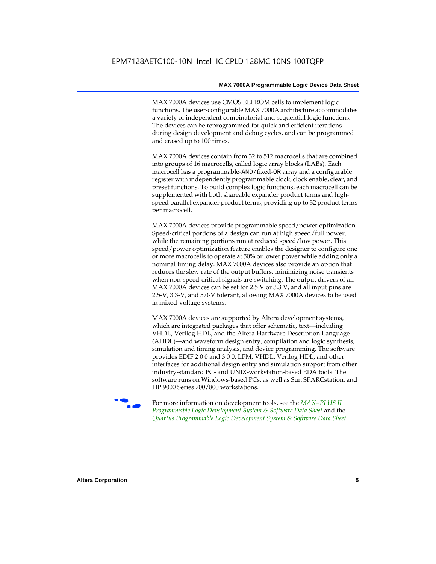MAX 7000A devices use CMOS EEPROM cells to implement logic functions. The user-configurable MAX 7000A architecture accommodates a variety of independent combinatorial and sequential logic functions. The devices can be reprogrammed for quick and efficient iterations during design development and debug cycles, and can be programmed and erased up to 100 times.

MAX 7000A devices contain from 32 to 512 macrocells that are combined into groups of 16 macrocells, called logic array blocks (LABs). Each macrocell has a programmable-AND/fixed-OR array and a configurable register with independently programmable clock, clock enable, clear, and preset functions. To build complex logic functions, each macrocell can be supplemented with both shareable expander product terms and highspeed parallel expander product terms, providing up to 32 product terms per macrocell.

MAX 7000A devices provide programmable speed/power optimization. Speed-critical portions of a design can run at high speed/full power, while the remaining portions run at reduced speed/low power. This speed/power optimization feature enables the designer to configure one or more macrocells to operate at 50% or lower power while adding only a nominal timing delay. MAX 7000A devices also provide an option that reduces the slew rate of the output buffers, minimizing noise transients when non-speed-critical signals are switching. The output drivers of all MAX 7000A devices can be set for 2.5 V or 3.3 V, and all input pins are 2.5-V, 3.3-V, and 5.0-V tolerant, allowing MAX 7000A devices to be used in mixed-voltage systems.

MAX 7000A devices are supported by Altera development systems, which are integrated packages that offer schematic, text—including VHDL, Verilog HDL, and the Altera Hardware Description Language (AHDL)—and waveform design entry, compilation and logic synthesis, simulation and timing analysis, and device programming. The software provides EDIF 2 0 0 and 3 0 0, LPM, VHDL, Verilog HDL, and other interfaces for additional design entry and simulation support from other industry-standard PC- and UNIX-workstation-based EDA tools. The software runs on Windows-based PCs, as well as Sun SPARCstation, and HP 9000 Series 700/800 workstations.

**For more information on development tools, see the** *MAX+PLUS II Programmable Logic Development System & Software Data Sheet* and the *Quartus Programmable Logic Development System & Software Data Sheet*.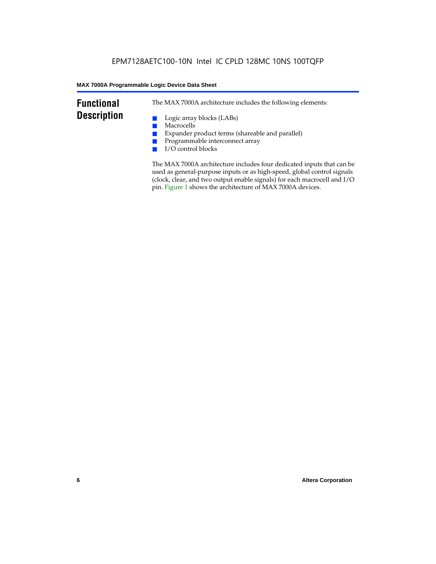# **Functional Description**

The MAX 7000A architecture includes the following elements:

- Logic array blocks (LABs)
- Macrocells
- Expander product terms (shareable and parallel)
- Programmable interconnect array
- I/O control blocks

The MAX 7000A architecture includes four dedicated inputs that can be used as general-purpose inputs or as high-speed, global control signals (clock, clear, and two output enable signals) for each macrocell and I/O pin. Figure 1 shows the architecture of MAX 7000A devices.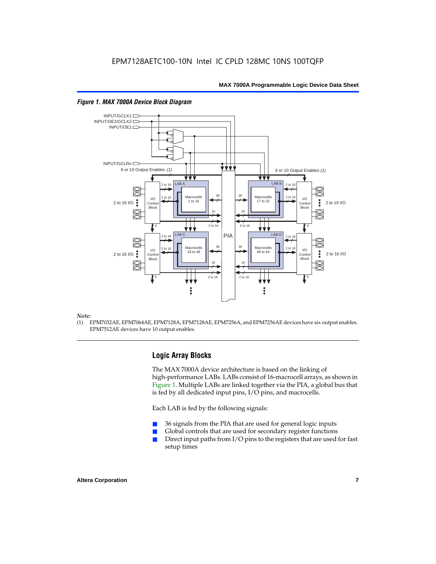

#### *Figure 1. MAX 7000A Device Block Diagram*

#### *Note:*

(1) EPM7032AE, EPM7064AE, EPM7128A, EPM7128AE, EPM7256A, and EPM7256AE devices have six output enables. EPM7512AE devices have 10 output enables.

# **Logic Array Blocks**

The MAX 7000A device architecture is based on the linking of high-performance LABs. LABs consist of 16-macrocell arrays, as shown in Figure 1. Multiple LABs are linked together via the PIA, a global bus that is fed by all dedicated input pins, I/O pins, and macrocells.

Each LAB is fed by the following signals:

- 36 signals from the PIA that are used for general logic inputs
- Global controls that are used for secondary register functions
- Direct input paths from  $I/O$  pins to the registers that are used for fast setup times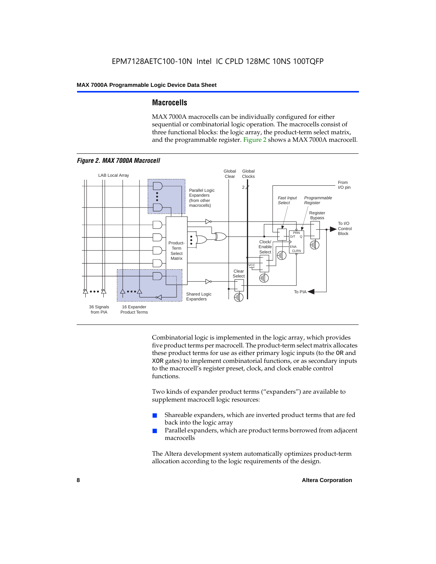# **Macrocells**

MAX 7000A macrocells can be individually configured for either sequential or combinatorial logic operation. The macrocells consist of three functional blocks: the logic array, the product-term select matrix, and the programmable register. Figure 2 shows a MAX 7000A macrocell.



Combinatorial logic is implemented in the logic array, which provides five product terms per macrocell. The product-term select matrix allocates these product terms for use as either primary logic inputs (to the OR and XOR gates) to implement combinatorial functions, or as secondary inputs to the macrocell's register preset, clock, and clock enable control functions.

Two kinds of expander product terms ("expanders") are available to supplement macrocell logic resources:

- Shareable expanders, which are inverted product terms that are fed back into the logic array
- Parallel expanders, which are product terms borrowed from adjacent macrocells

The Altera development system automatically optimizes product-term allocation according to the logic requirements of the design.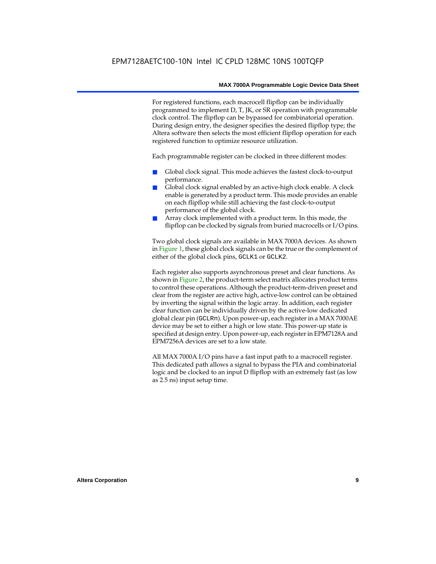For registered functions, each macrocell flipflop can be individually programmed to implement D, T, JK, or SR operation with programmable clock control. The flipflop can be bypassed for combinatorial operation. During design entry, the designer specifies the desired flipflop type; the Altera software then selects the most efficient flipflop operation for each registered function to optimize resource utilization.

Each programmable register can be clocked in three different modes:

- Global clock signal. This mode achieves the fastest clock-to-output performance.
- Global clock signal enabled by an active-high clock enable. A clock enable is generated by a product term. This mode provides an enable on each flipflop while still achieving the fast clock-to-output performance of the global clock.
- Array clock implemented with a product term. In this mode, the flipflop can be clocked by signals from buried macrocells or I/O pins.

Two global clock signals are available in MAX 7000A devices. As shown in Figure 1, these global clock signals can be the true or the complement of either of the global clock pins, GCLK1 or GCLK2.

Each register also supports asynchronous preset and clear functions. As shown in Figure 2, the product-term select matrix allocates product terms to control these operations. Although the product-term-driven preset and clear from the register are active high, active-low control can be obtained by inverting the signal within the logic array. In addition, each register clear function can be individually driven by the active-low dedicated global clear pin (GCLRn). Upon power-up, each register in a MAX 7000AE device may be set to either a high or low state. This power-up state is specified at design entry. Upon power-up, each register in EPM7128A and EPM7256A devices are set to a low state.

All MAX 7000A I/O pins have a fast input path to a macrocell register. This dedicated path allows a signal to bypass the PIA and combinatorial logic and be clocked to an input D flipflop with an extremely fast (as low as 2.5 ns) input setup time.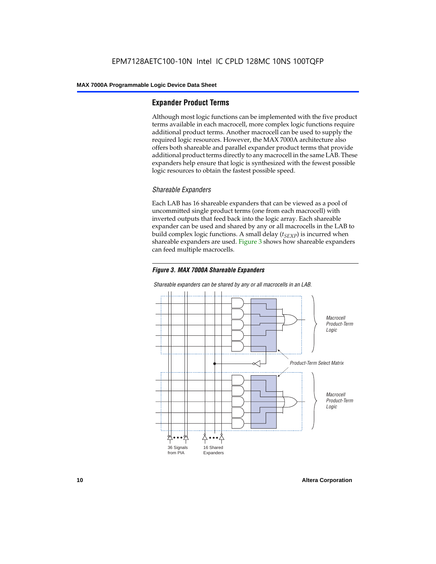# **Expander Product Terms**

Although most logic functions can be implemented with the five product terms available in each macrocell, more complex logic functions require additional product terms. Another macrocell can be used to supply the required logic resources. However, the MAX 7000A architecture also offers both shareable and parallel expander product terms that provide additional product terms directly to any macrocell in the same LAB. These expanders help ensure that logic is synthesized with the fewest possible logic resources to obtain the fastest possible speed.

# *Shareable Expanders*

Each LAB has 16 shareable expanders that can be viewed as a pool of uncommitted single product terms (one from each macrocell) with inverted outputs that feed back into the logic array. Each shareable expander can be used and shared by any or all macrocells in the LAB to build complex logic functions. A small delay  $(t_{SFXP})$  is incurred when shareable expanders are used. Figure 3 shows how shareable expanders can feed multiple macrocells.



**Macrocell** Product-Term Logic Product-Term Select Matrix **Macrocell** Product-Term Logic 36 Signals from PIA 16 Shared Expanders

*Shareable expanders can be shared by any or all macrocells in an LAB.*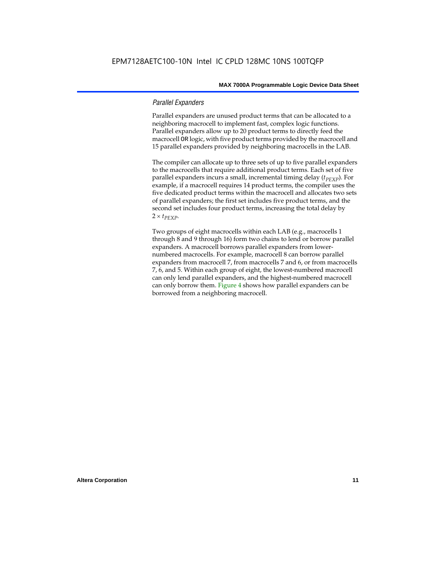### *Parallel Expanders*

Parallel expanders are unused product terms that can be allocated to a neighboring macrocell to implement fast, complex logic functions. Parallel expanders allow up to 20 product terms to directly feed the macrocell OR logic, with five product terms provided by the macrocell and 15 parallel expanders provided by neighboring macrocells in the LAB.

The compiler can allocate up to three sets of up to five parallel expanders to the macrocells that require additional product terms. Each set of five parallel expanders incurs a small, incremental timing delay (*t<sub>PEXP</sub>*). For example, if a macrocell requires 14 product terms, the compiler uses the five dedicated product terms within the macrocell and allocates two sets of parallel expanders; the first set includes five product terms, and the second set includes four product terms, increasing the total delay by  $2 \times t_{PEXP}$ .

Two groups of eight macrocells within each LAB (e.g., macrocells 1 through 8 and 9 through 16) form two chains to lend or borrow parallel expanders. A macrocell borrows parallel expanders from lowernumbered macrocells. For example, macrocell 8 can borrow parallel expanders from macrocell 7, from macrocells 7 and 6, or from macrocells 7, 6, and 5. Within each group of eight, the lowest-numbered macrocell can only lend parallel expanders, and the highest-numbered macrocell can only borrow them. Figure 4 shows how parallel expanders can be borrowed from a neighboring macrocell.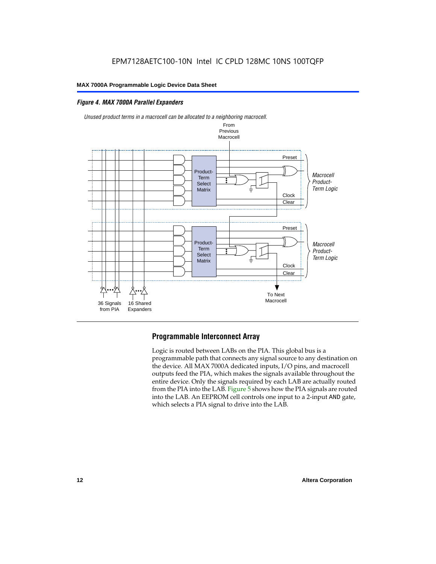# *Figure 4. MAX 7000A Parallel Expanders*



*Unused product terms in a macrocell can be allocated to a neighboring macrocell.*

# **Programmable Interconnect Array**

Logic is routed between LABs on the PIA. This global bus is a programmable path that connects any signal source to any destination on the device. All MAX 7000A dedicated inputs, I/O pins, and macrocell outputs feed the PIA, which makes the signals available throughout the entire device. Only the signals required by each LAB are actually routed from the PIA into the LAB. Figure 5 shows how the PIA signals are routed into the LAB. An EEPROM cell controls one input to a 2-input AND gate, which selects a PIA signal to drive into the LAB.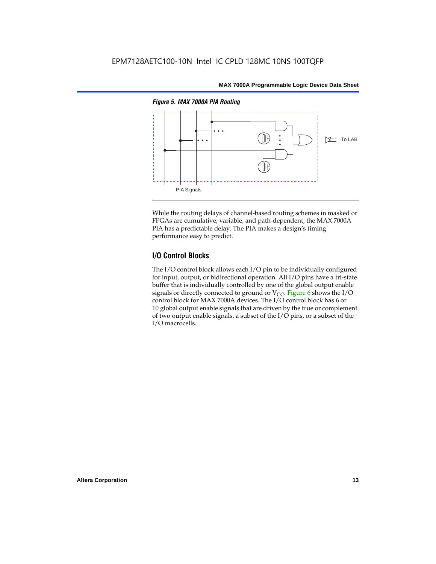

While the routing delays of channel-based routing schemes in masked or FPGAs are cumulative, variable, and path-dependent, the MAX 7000A PIA has a predictable delay. The PIA makes a design's timing performance easy to predict.

# **I/O Control Blocks**

The I/O control block allows each I/O pin to be individually configured for input, output, or bidirectional operation. All I/O pins have a tri-state buffer that is individually controlled by one of the global output enable signals or directly connected to ground or  $V_{CC}$ . Figure 6 shows the I/O control block for MAX 7000A devices. The I/O control block has 6 or 10 global output enable signals that are driven by the true or complement of two output enable signals, a subset of the I/O pins, or a subset of the I/O macrocells.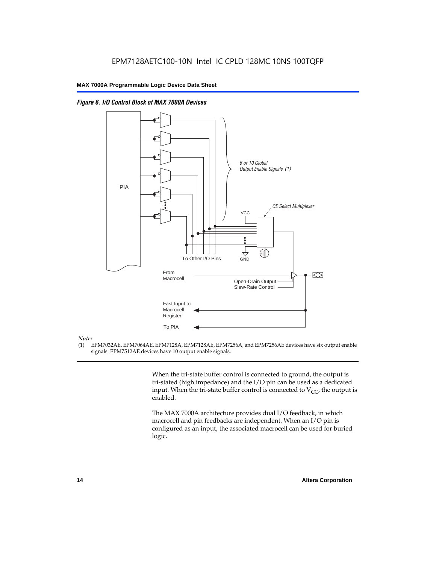



#### *Note:*

(1) EPM7032AE, EPM7064AE, EPM7128A, EPM7128AE, EPM7256A, and EPM7256AE devices have six output enable signals. EPM7512AE devices have 10 output enable signals.

> When the tri-state buffer control is connected to ground, the output is tri-stated (high impedance) and the I/O pin can be used as a dedicated input. When the tri-state buffer control is connected to  $V_{CC}$ , the output is enabled.

The MAX 7000A architecture provides dual I/O feedback, in which macrocell and pin feedbacks are independent. When an I/O pin is configured as an input, the associated macrocell can be used for buried logic.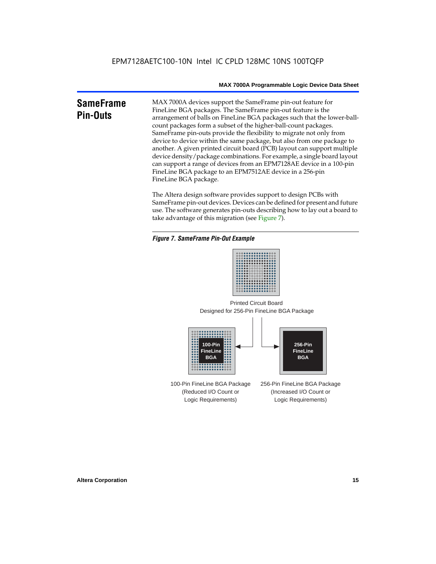# **SameFrame Pin-Outs**

MAX 7000A devices support the SameFrame pin-out feature for FineLine BGA packages. The SameFrame pin-out feature is the arrangement of balls on FineLine BGA packages such that the lower-ballcount packages form a subset of the higher-ball-count packages. SameFrame pin-outs provide the flexibility to migrate not only from device to device within the same package, but also from one package to another. A given printed circuit board (PCB) layout can support multiple device density/package combinations. For example, a single board layout can support a range of devices from an EPM7128AE device in a 100-pin FineLine BGA package to an EPM7512AE device in a 256-pin FineLine BGA package.

The Altera design software provides support to design PCBs with SameFrame pin-out devices. Devices can be defined for present and future use. The software generates pin-outs describing how to lay out a board to take advantage of this migration (see Figure 7).

#### *Figure 7. SameFrame Pin-Out Example*



Designed for 256-Pin FineLine BGA Package Printed Circuit Board



100-Pin FineLine BGA Package (Reduced I/O Count or Logic Requirements) 256-Pin FineLine BGA Package (Increased I/O Count or Logic Requirements)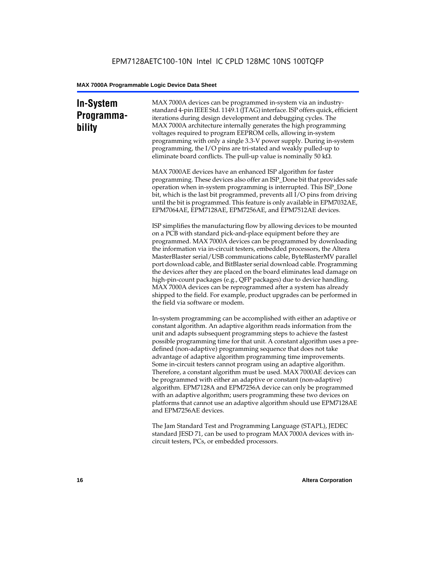# **In-System Programmability**

MAX 7000A devices can be programmed in-system via an industrystandard 4-pin IEEE Std. 1149.1 (JTAG) interface. ISP offers quick, efficient iterations during design development and debugging cycles. The MAX 7000A architecture internally generates the high programming voltages required to program EEPROM cells, allowing in-system programming with only a single 3.3-V power supply. During in-system programming, the I/O pins are tri-stated and weakly pulled-up to eliminate board conflicts. The pull-up value is nominally 50 k $\Omega$ .

MAX 7000AE devices have an enhanced ISP algorithm for faster programming. These devices also offer an ISP\_Done bit that provides safe operation when in-system programming is interrupted. This ISP\_Done bit, which is the last bit programmed, prevents all I/O pins from driving until the bit is programmed. This feature is only available in EPM7032AE, EPM7064AE, EPM7128AE, EPM7256AE, and EPM7512AE devices.

ISP simplifies the manufacturing flow by allowing devices to be mounted on a PCB with standard pick-and-place equipment before they are programmed. MAX 7000A devices can be programmed by downloading the information via in-circuit testers, embedded processors, the Altera MasterBlaster serial/USB communications cable, ByteBlasterMV parallel port download cable, and BitBlaster serial download cable. Programming the devices after they are placed on the board eliminates lead damage on high-pin-count packages (e.g., QFP packages) due to device handling. MAX 7000A devices can be reprogrammed after a system has already shipped to the field. For example, product upgrades can be performed in the field via software or modem.

In-system programming can be accomplished with either an adaptive or constant algorithm. An adaptive algorithm reads information from the unit and adapts subsequent programming steps to achieve the fastest possible programming time for that unit. A constant algorithm uses a predefined (non-adaptive) programming sequence that does not take advantage of adaptive algorithm programming time improvements. Some in-circuit testers cannot program using an adaptive algorithm. Therefore, a constant algorithm must be used. MAX 7000AE devices can be programmed with either an adaptive or constant (non-adaptive) algorithm. EPM7128A and EPM7256A device can only be programmed with an adaptive algorithm; users programming these two devices on platforms that cannot use an adaptive algorithm should use EPM7128AE and EPM7256AE devices.

The Jam Standard Test and Programming Language (STAPL), JEDEC standard JESD 71, can be used to program MAX 7000A devices with incircuit testers, PCs, or embedded processors.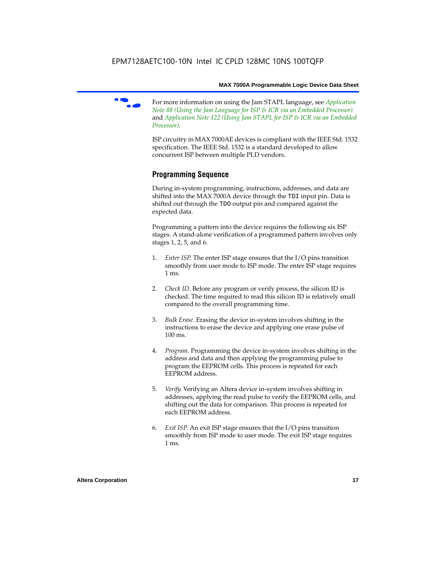f For more information on using the Jam STAPL language, see *Application Note 88 (Using the Jam Language for ISP & ICR via an Embedded Processor)*  and *Application Note 122 (Using Jam STAPL for ISP & ICR via an Embedded Processor)*.

ISP circuitry in MAX 7000AE devices is compliant with the IEEE Std. 1532 specification. The IEEE Std. 1532 is a standard developed to allow concurrent ISP between multiple PLD vendors.

# **Programming Sequence**

During in-system programming, instructions, addresses, and data are shifted into the MAX 7000A device through the TDI input pin. Data is shifted out through the TDO output pin and compared against the expected data.

Programming a pattern into the device requires the following six ISP stages. A stand-alone verification of a programmed pattern involves only stages 1, 2, 5, and 6.

- 1. *Enter ISP*. The enter ISP stage ensures that the I/O pins transition smoothly from user mode to ISP mode. The enter ISP stage requires 1 ms.
- 2. *Check ID*. Before any program or verify process, the silicon ID is checked. The time required to read this silicon ID is relatively small compared to the overall programming time.
- 3. *Bulk Erase*. Erasing the device in-system involves shifting in the instructions to erase the device and applying one erase pulse of 100 ms.
- 4. *Program*. Programming the device in-system involves shifting in the address and data and then applying the programming pulse to program the EEPROM cells. This process is repeated for each EEPROM address.
- 5. *Verify*. Verifying an Altera device in-system involves shifting in addresses, applying the read pulse to verify the EEPROM cells, and shifting out the data for comparison. This process is repeated for each EEPROM address.
- 6. *Exit ISP*. An exit ISP stage ensures that the I/O pins transition smoothly from ISP mode to user mode. The exit ISP stage requires 1 ms.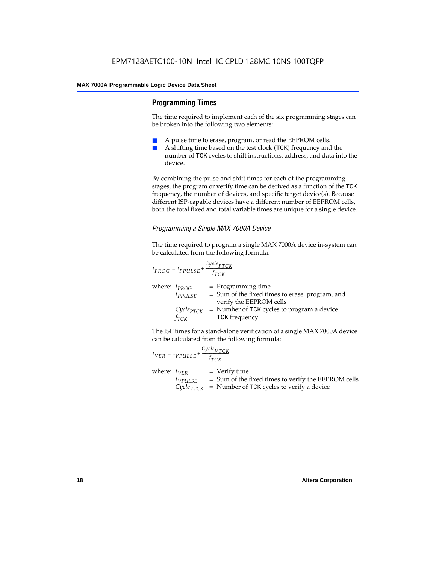# **Programming Times**

The time required to implement each of the six programming stages can be broken into the following two elements:

- A pulse time to erase, program, or read the EEPROM cells.
- A shifting time based on the test clock (TCK) frequency and the number of TCK cycles to shift instructions, address, and data into the device.

By combining the pulse and shift times for each of the programming stages, the program or verify time can be derived as a function of the TCK frequency, the number of devices, and specific target device(s). Because different ISP-capable devices have a different number of EEPROM cells, both the total fixed and total variable times are unique for a single device.

# *Programming a Single MAX 7000A Device*

The time required to program a single MAX 7000A device in-system can be calculated from the following formula:

$$
t_{PROG} = t_{PPULSE} + \frac{c_{ycle_{PTCK}}}{f_{TCK}}
$$
  
where:  $t_{PROG}$  = Programming time  
 $t_{PPULSE}$  = Sum of the fixed times to erase, program, and  
verify the EEPROM cells  
 $C_{ycle_{PTCK}}$  = Number of TCK cycles to program a device  
 $f_{TCK}$  = TCK frequency

The ISP times for a stand-alone verification of a single MAX 7000A device can be calculated from the following formula:

| $t_{VER} = t_{VPULSE} + \frac{Cycle_{VTCK}}{f_{TCK}}$ |                                                                                                                                 |
|-------------------------------------------------------|---------------------------------------------------------------------------------------------------------------------------------|
| where: $t_{VER}$<br>$t_{VPULSE}$                      | $=$ Verify time<br>= Sum of the fixed times to verify the EEPROM cells<br>$CycleVTCK$ = Number of TCK cycles to verify a device |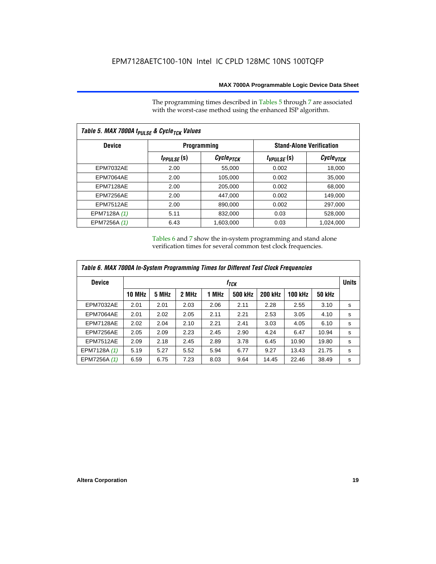The programming times described in Tables 5 through 7 are associated with the worst-case method using the enhanced ISP algorithm.

| Table 5. MAX 7000A t <sub>PULSE</sub> & Cycle <sub>TCK</sub> Values |                 |                       |                 |                                 |  |  |  |
|---------------------------------------------------------------------|-----------------|-----------------------|-----------------|---------------------------------|--|--|--|
| <b>Device</b>                                                       |                 | Programming           |                 | <b>Stand-Alone Verification</b> |  |  |  |
|                                                                     | $t_{PPULSE}(s)$ | Cycle <sub>PTCK</sub> | $t_{VPULSE}(s)$ | Cycle <sub>vTCK</sub>           |  |  |  |
| <b>EPM7032AE</b>                                                    | 2.00            | 55,000                | 0.002           | 18,000                          |  |  |  |
| EPM7064AE                                                           | 2.00            | 105,000               | 0.002           | 35,000                          |  |  |  |
| EPM7128AE                                                           | 2.00            | 205,000               | 0.002           | 68,000                          |  |  |  |
| EPM7256AE                                                           | 2.00            | 447,000               | 0.002           | 149.000                         |  |  |  |
| <b>EPM7512AE</b>                                                    | 2.00            | 890,000               | 0.002           | 297,000                         |  |  |  |
| EPM7128A (1)                                                        | 5.11            | 832,000               | 0.03            | 528,000                         |  |  |  |
| EPM7256A (1)                                                        | 6.43            | 1.603.000             | 0.03            | 1,024,000                       |  |  |  |

Tables 6 and 7 show the in-system programming and stand alone verification times for several common test clock frequencies.

| Table 6. MAX 7000A In-System Programming Times for Different Test Clock Frequencies |        |                  |       |       |                |                |                |               |              |
|-------------------------------------------------------------------------------------|--------|------------------|-------|-------|----------------|----------------|----------------|---------------|--------------|
| <b>Device</b>                                                                       |        | f <sub>тск</sub> |       |       |                |                |                |               | <b>Units</b> |
|                                                                                     | 10 MHz | 5 MHz            | 2 MHz | 1 MHz | <b>500 kHz</b> | <b>200 kHz</b> | <b>100 kHz</b> | <b>50 kHz</b> |              |
| <b>EPM7032AE</b>                                                                    | 2.01   | 2.01             | 2.03  | 2.06  | 2.11           | 2.28           | 2.55           | 3.10          | s            |
| EPM7064AE                                                                           | 2.01   | 2.02             | 2.05  | 2.11  | 2.21           | 2.53           | 3.05           | 4.10          | s            |
| EPM7128AE                                                                           | 2.02   | 2.04             | 2.10  | 2.21  | 2.41           | 3.03           | 4.05           | 6.10          | s            |
| EPM7256AE                                                                           | 2.05   | 2.09             | 2.23  | 2.45  | 2.90           | 4.24           | 6.47           | 10.94         | s            |
| <b>EPM7512AE</b>                                                                    | 2.09   | 2.18             | 2.45  | 2.89  | 3.78           | 6.45           | 10.90          | 19.80         | s            |
| EPM7128A (1)                                                                        | 5.19   | 5.27             | 5.52  | 5.94  | 6.77           | 9.27           | 13.43          | 21.75         | s            |
| EPM7256A (1)                                                                        | 6.59   | 6.75             | 7.23  | 8.03  | 9.64           | 14.45          | 22.46          | 38.49         | s            |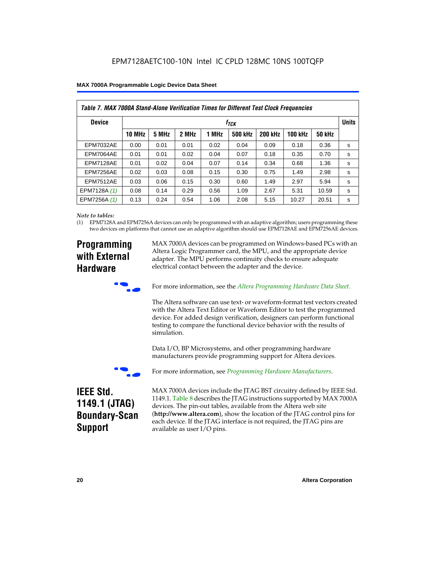| MAX 7000A Programmable Logic Device Data Sheet |  |
|------------------------------------------------|--|
|------------------------------------------------|--|

| Table 7. MAX 7000A Stand-Alone Verification Times for Different Test Clock Frequencies |               |       |       |       |                |                |                |               |   |
|----------------------------------------------------------------------------------------|---------------|-------|-------|-------|----------------|----------------|----------------|---------------|---|
| <b>Device</b>                                                                          | $f_{TCK}$     |       |       |       |                |                | <b>Units</b>   |               |   |
|                                                                                        | <b>10 MHz</b> | 5 MHz | 2 MHz | 1 MHz | <b>500 kHz</b> | <b>200 kHz</b> | <b>100 kHz</b> | <b>50 kHz</b> |   |
| <b>EPM7032AE</b>                                                                       | 0.00          | 0.01  | 0.01  | 0.02  | 0.04           | 0.09           | 0.18           | 0.36          | s |
| <b>EPM7064AE</b>                                                                       | 0.01          | 0.01  | 0.02  | 0.04  | 0.07           | 0.18           | 0.35           | 0.70          | s |
| EPM7128AE                                                                              | 0.01          | 0.02  | 0.04  | 0.07  | 0.14           | 0.34           | 0.68           | 1.36          | s |
| EPM7256AE                                                                              | 0.02          | 0.03  | 0.08  | 0.15  | 0.30           | 0.75           | 1.49           | 2.98          | s |
| <b>EPM7512AE</b>                                                                       | 0.03          | 0.06  | 0.15  | 0.30  | 0.60           | 1.49           | 2.97           | 5.94          | s |
| EPM7128A (1)                                                                           | 0.08          | 0.14  | 0.29  | 0.56  | 1.09           | 2.67           | 5.31           | 10.59         | s |
| EPM7256A (1)                                                                           | 0.13          | 0.24  | 0.54  | 1.06  | 2.08           | 5.15           | 10.27          | 20.51         | s |

#### *Note to tables:*

(1) EPM7128A and EPM7256A devices can only be programmed with an adaptive algorithm; users programming these two devices on platforms that cannot use an adaptive algorithm should use EPM7128AE and EPM7256AE devices.

# **Programming with External Hardware**

MAX 7000A devices can be programmed on Windows-based PCs with an Altera Logic Programmer card, the MPU, and the appropriate device adapter. The MPU performs continuity checks to ensure adequate electrical contact between the adapter and the device.



For more information, see the *Altera Programming Hardware Data Sheet*.

The Altera software can use text- or waveform-format test vectors created with the Altera Text Editor or Waveform Editor to test the programmed device. For added design verification, designers can perform functional testing to compare the functional device behavior with the results of simulation.

Data I/O, BP Microsystems, and other programming hardware manufacturers provide programming support for Altera devices.



For more information, see *Programming Hardware Manufacturers*.

# **IEEE Std. 1149.1 (JTAG) Boundary-Scan Support**

MAX 7000A devices include the JTAG BST circuitry defined by IEEE Std. 1149.1. Table 8 describes the JTAG instructions supported by MAX 7000A devices. The pin-out tables, available from the Altera web site (**http://www.altera.com**), show the location of the JTAG control pins for each device. If the JTAG interface is not required, the JTAG pins are available as user I/O pins.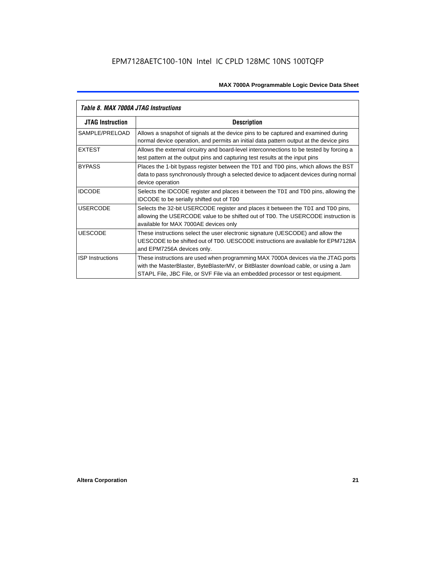| Table 8. MAX 7000A JTAG Instructions |                                                                                                                                                                                                                                                            |  |  |  |  |
|--------------------------------------|------------------------------------------------------------------------------------------------------------------------------------------------------------------------------------------------------------------------------------------------------------|--|--|--|--|
| <b>JTAG Instruction</b>              | <b>Description</b>                                                                                                                                                                                                                                         |  |  |  |  |
| SAMPLE/PRELOAD                       | Allows a snapshot of signals at the device pins to be captured and examined during<br>normal device operation, and permits an initial data pattern output at the device pins                                                                               |  |  |  |  |
| <b>EXTEST</b>                        | Allows the external circuitry and board-level interconnections to be tested by forcing a<br>test pattern at the output pins and capturing test results at the input pins                                                                                   |  |  |  |  |
| <b>BYPASS</b>                        | Places the 1-bit bypass register between the TDI and TDO pins, which allows the BST<br>data to pass synchronously through a selected device to adjacent devices during normal<br>device operation                                                          |  |  |  |  |
| <b>IDCODE</b>                        | Selects the IDCODE register and places it between the TDI and TDO pins, allowing the<br><b>IDCODE</b> to be serially shifted out of TDO                                                                                                                    |  |  |  |  |
| <b>USERCODE</b>                      | Selects the 32-bit USERCODE register and places it between the TDI and TDO pins,<br>allowing the USERCODE value to be shifted out of TDO. The USERCODE instruction is<br>available for MAX 7000AE devices only                                             |  |  |  |  |
| <b>UESCODE</b>                       | These instructions select the user electronic signature (UESCODE) and allow the<br>UESCODE to be shifted out of TDO, UESCODE instructions are available for EPM7128A<br>and EPM7256A devices only.                                                         |  |  |  |  |
| <b>ISP Instructions</b>              | These instructions are used when programming MAX 7000A devices via the JTAG ports<br>with the MasterBlaster, ByteBlasterMV, or BitBlaster download cable, or using a Jam<br>STAPL File, JBC File, or SVF File via an embedded processor or test equipment. |  |  |  |  |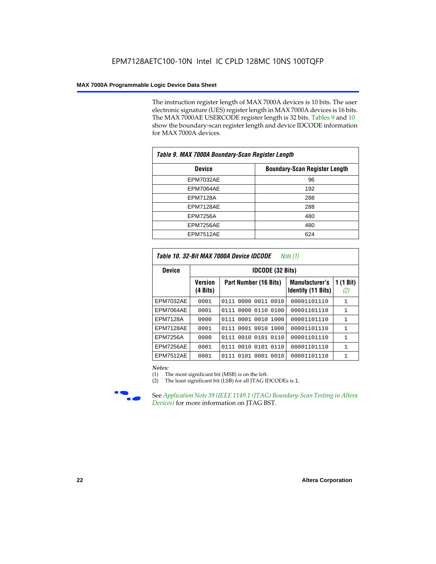The instruction register length of MAX 7000A devices is 10 bits. The user electronic signature (UES) register length in MAX 7000A devices is 16 bits. The MAX 7000AE USERCODE register length is 32 bits. Tables 9 and 10 show the boundary-scan register length and device IDCODE information for MAX 7000A devices.

| Table 9. MAX 7000A Boundary-Scan Register Length |                                      |  |  |  |  |
|--------------------------------------------------|--------------------------------------|--|--|--|--|
| <b>Device</b>                                    | <b>Boundary-Scan Register Length</b> |  |  |  |  |
| <b>EPM7032AE</b>                                 | 96                                   |  |  |  |  |
| EPM7064AE                                        | 192                                  |  |  |  |  |
| <b>EPM7128A</b>                                  | 288                                  |  |  |  |  |
| EPM7128AE                                        | 288                                  |  |  |  |  |
| <b>EPM7256A</b>                                  | 480                                  |  |  |  |  |
| EPM7256AE                                        | 480                                  |  |  |  |  |
| EPM7512AE                                        | 624                                  |  |  |  |  |

| Table 10. 32-Bit MAX 7000A Device IDCODE<br>Note (1) |                            |                              |                                                    |                               |  |  |  |  |  |
|------------------------------------------------------|----------------------------|------------------------------|----------------------------------------------------|-------------------------------|--|--|--|--|--|
| <b>Device</b>                                        |                            | <b>IDCODE (32 Bits)</b>      |                                                    |                               |  |  |  |  |  |
|                                                      | <b>Version</b><br>(4 Bits) | Part Number (16 Bits)        | <b>Manufacturer's</b><br><b>Identity (11 Bits)</b> | $(1 \text{ Bit})$<br>1<br>(2) |  |  |  |  |  |
| <b>EPM7032AE</b>                                     | 0001                       | 0000<br>0011<br>0010<br>0111 | 00001101110                                        | $\mathbf{1}$                  |  |  |  |  |  |
| EPM7064AE                                            | 0001                       | 0000<br>0110<br>0100<br>0111 | 00001101110                                        | $\mathbf{1}$                  |  |  |  |  |  |
| <b>EPM7128A</b>                                      | 0000                       | 0111 0001 0010 1000          | 00001101110                                        | $\mathbf{1}$                  |  |  |  |  |  |
| EPM7128AE                                            | 0001                       | 0111 0001 0010 1000          | 00001101110                                        | $\mathbf{1}$                  |  |  |  |  |  |
| <b>EPM7256A</b>                                      | 0000                       | 0111 0010 0101 0110          | 00001101110                                        | 1                             |  |  |  |  |  |
| EPM7256AE                                            | 0001                       | 0010 0101<br>0110<br>0111    | 00001101110                                        | $\mathbf{1}$                  |  |  |  |  |  |
| <b>EPM7512AE</b>                                     | 0001                       | 0101 0001<br>0010<br>0111    | 00001101110                                        | $\mathbf{1}$                  |  |  |  |  |  |

#### *Notes:*

(1) The most significant bit (MSB) is on the left.

(2) The least significant bit (LSB) for all JTAG IDCODEs is 1.



**Figure 39 (IEEE 1149.1 (JTAG) Boundary-Scan Testing in Altera** *Devices)* for more information on JTAG BST.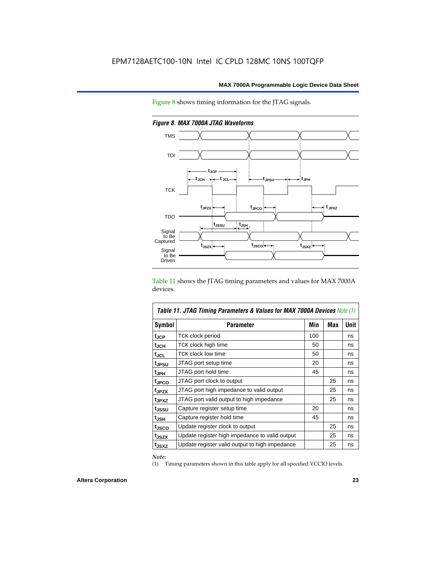



*Figure 8. MAX 7000A JTAG Waveforms*

Table 11 shows the JTAG timing parameters and values for MAX 7000A devices.

| Table 11. JTAG Timing Parameters & Values for MAX 7000A Devices Note (1) |                                                |     |     |             |  |  |  |  |  |
|--------------------------------------------------------------------------|------------------------------------------------|-----|-----|-------------|--|--|--|--|--|
| <b>Symbol</b>                                                            | Parameter                                      | Min | Max | <b>Unit</b> |  |  |  |  |  |
| t <sub>JCP</sub>                                                         | TCK clock period                               | 100 |     | ns          |  |  |  |  |  |
| t <sub>JCH</sub>                                                         | TCK clock high time                            | 50  |     | ns          |  |  |  |  |  |
| $t_{JCL}$                                                                | TCK clock low time                             | 50  |     | ns          |  |  |  |  |  |
| tjpsu                                                                    | JTAG port setup time                           | 20  |     | ns          |  |  |  |  |  |
| t <sub>JPH</sub>                                                         | JTAG port hold time                            | 45  |     | ns          |  |  |  |  |  |
| tjpco                                                                    | JTAG port clock to output                      |     | 25  | ns          |  |  |  |  |  |
| t <sub>JPZX</sub>                                                        | JTAG port high impedance to valid output       |     | 25  | ns          |  |  |  |  |  |
| t <sub>JPXZ</sub>                                                        | JTAG port valid output to high impedance       |     | 25  | ns          |  |  |  |  |  |
| tjssu                                                                    | Capture register setup time                    | 20  |     | ns          |  |  |  |  |  |
| $t_{JSH}$                                                                | Capture register hold time                     | 45  |     | ns          |  |  |  |  |  |
| t <sub>JSCO</sub>                                                        | Update register clock to output                |     | 25  | ns          |  |  |  |  |  |
| t <sub>JSZX</sub>                                                        | Update register high impedance to valid output |     | 25  | ns          |  |  |  |  |  |
| t <sub>JSXZ</sub>                                                        | Update register valid output to high impedance |     | 25  | ns          |  |  |  |  |  |

*Note:*

(1) Timing parameters shown in this table apply for all specified VCCIO levels.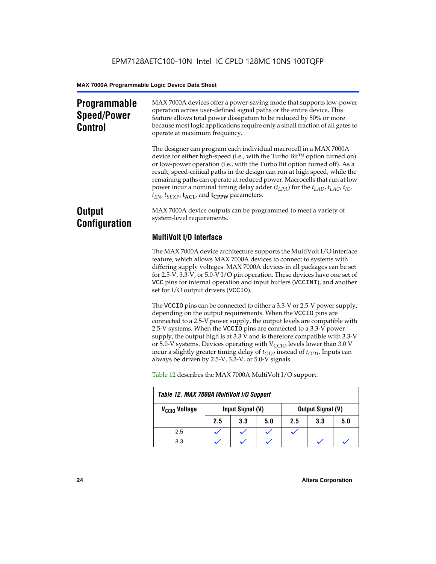# **Programmable Speed/Power Control**

MAX 7000A devices offer a power-saving mode that supports low-power operation across user-defined signal paths or the entire device. This feature allows total power dissipation to be reduced by 50% or more because most logic applications require only a small fraction of all gates to operate at maximum frequency.

The designer can program each individual macrocell in a MAX 7000A device for either high-speed (i.e., with the Turbo  $Bit^{TM}$  option turned on) or low-power operation (i.e., with the Turbo Bit option turned off). As a result, speed-critical paths in the design can run at high speed, while the remaining paths can operate at reduced power. Macrocells that run at low power incur a nominal timing delay adder (*tLPA*) for the *tLAD*, *tLAC*, *tIC*,  $t_{EN}$ ,  $t_{SEXP}$ ,  $t_{ACL}$ , and  $t_{CPPW}$  parameters.

# **Output Configuration**

MAX 7000A device outputs can be programmed to meet a variety of system-level requirements.

# **MultiVolt I/O Interface**

The MAX 7000A device architecture supports the MultiVolt I/O interface feature, which allows MAX 7000A devices to connect to systems with differing supply voltages. MAX 7000A devices in all packages can be set for 2.5-V, 3.3-V, or 5.0-V I/O pin operation. These devices have one set of VCC pins for internal operation and input buffers (VCCINT), and another set for I/O output drivers (VCCIO).

The VCCIO pins can be connected to either a 3.3-V or 2.5-V power supply, depending on the output requirements. When the VCCIO pins are connected to a 2.5-V power supply, the output levels are compatible with 2.5-V systems. When the VCCIO pins are connected to a 3.3-V power supply, the output high is at 3.3 V and is therefore compatible with 3.3-V or 5.0-V systems. Devices operating with  $V_{\text{CCIO}}$  levels lower than 3.0 V incur a slightly greater timing delay of  $t_{OD2}$  instead of  $t_{OD1}$ . Inputs can always be driven by 2.5-V, 3.3-V, or 5.0-V signals.

| Table 12. MAX 7000A MultiVolt I/O Support |     |                  |     |     |                          |     |  |  |
|-------------------------------------------|-----|------------------|-----|-----|--------------------------|-----|--|--|
| V <sub>CCIO</sub> Voltage                 |     | Input Signal (V) |     |     | <b>Output Signal (V)</b> |     |  |  |
|                                           | 2.5 | 3.3              | 5.0 | 2.5 | 3.3                      | 5.0 |  |  |
| 2.5                                       |     |                  |     |     |                          |     |  |  |
| 3.3                                       |     |                  |     |     |                          |     |  |  |

Table 12 describes the MAX 7000A MultiVolt I/O support.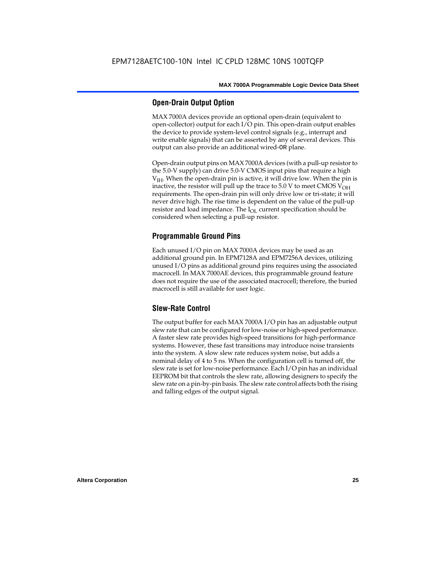# **Open-Drain Output Option**

MAX 7000A devices provide an optional open-drain (equivalent to open-collector) output for each I/O pin. This open-drain output enables the device to provide system-level control signals (e.g., interrupt and write enable signals) that can be asserted by any of several devices. This output can also provide an additional wired-OR plane.

Open-drain output pins on MAX 7000A devices (with a pull-up resistor to the 5.0-V supply) can drive 5.0-V CMOS input pins that require a high  $V<sub>IH</sub>$ . When the open-drain pin is active, it will drive low. When the pin is inactive, the resistor will pull up the trace to  $5.0$  V to meet CMOS V<sub>OH</sub> requirements. The open-drain pin will only drive low or tri-state; it will never drive high. The rise time is dependent on the value of the pull-up resistor and load impedance. The  $I_{OL}$  current specification should be considered when selecting a pull-up resistor.

# **Programmable Ground Pins**

Each unused I/O pin on MAX 7000A devices may be used as an additional ground pin. In EPM7128A and EPM7256A devices, utilizing unused I/O pins as additional ground pins requires using the associated macrocell. In MAX 7000AE devices, this programmable ground feature does not require the use of the associated macrocell; therefore, the buried macrocell is still available for user logic.

# **Slew-Rate Control**

The output buffer for each MAX 7000A I/O pin has an adjustable output slew rate that can be configured for low-noise or high-speed performance. A faster slew rate provides high-speed transitions for high-performance systems. However, these fast transitions may introduce noise transients into the system. A slow slew rate reduces system noise, but adds a nominal delay of 4 to 5 ns. When the configuration cell is turned off, the slew rate is set for low-noise performance. Each I/O pin has an individual EEPROM bit that controls the slew rate, allowing designers to specify the slew rate on a pin-by-pin basis. The slew rate control affects both the rising and falling edges of the output signal.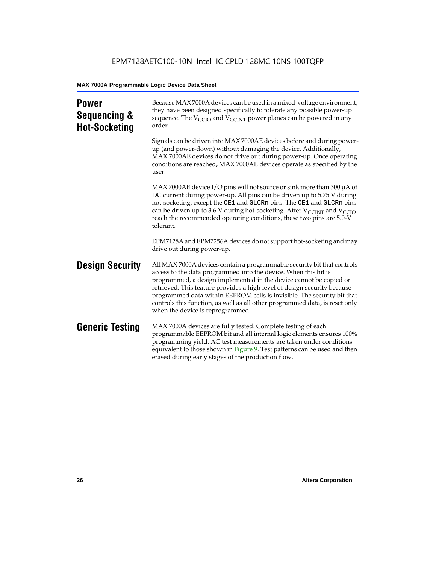| <b>Power</b><br>Sequencing &<br><b>Hot-Socketing</b> | Because MAX 7000A devices can be used in a mixed-voltage environment,<br>they have been designed specifically to tolerate any possible power-up<br>sequence. The $V_{\text{CCIO}}$ and $V_{\text{CCINT}}$ power planes can be powered in any<br>order.                                                                                                                                                                                                                                     |
|------------------------------------------------------|--------------------------------------------------------------------------------------------------------------------------------------------------------------------------------------------------------------------------------------------------------------------------------------------------------------------------------------------------------------------------------------------------------------------------------------------------------------------------------------------|
|                                                      | Signals can be driven into MAX 7000AE devices before and during power-<br>up (and power-down) without damaging the device. Additionally,<br>MAX 7000AE devices do not drive out during power-up. Once operating<br>conditions are reached, MAX 7000AE devices operate as specified by the<br>user.                                                                                                                                                                                         |
|                                                      | MAX 7000AE device I/O pins will not source or sink more than 300 $\mu$ A of<br>DC current during power-up. All pins can be driven up to 5.75 V during<br>hot-socketing, except the OE1 and GLCRn pins. The OE1 and GLCRn pins<br>can be driven up to 3.6 V during hot-socketing. After $V_{\text{CCINT}}$ and $V_{\text{CCIO}}$<br>reach the recommended operating conditions, these two pins are 5.0-V<br>tolerant.                                                                       |
|                                                      | EPM7128A and EPM7256A devices do not support hot-socketing and may<br>drive out during power-up.                                                                                                                                                                                                                                                                                                                                                                                           |
| <b>Design Security</b>                               | All MAX 7000A devices contain a programmable security bit that controls<br>access to the data programmed into the device. When this bit is<br>programmed, a design implemented in the device cannot be copied or<br>retrieved. This feature provides a high level of design security because<br>programmed data within EEPROM cells is invisible. The security bit that<br>controls this function, as well as all other programmed data, is reset only<br>when the device is reprogrammed. |
| <b>Generic Testing</b>                               | MAX 7000A devices are fully tested. Complete testing of each<br>programmable EEPROM bit and all internal logic elements ensures 100%<br>programming yield. AC test measurements are taken under conditions<br>equivalent to those shown in Figure 9. Test patterns can be used and then<br>erased during early stages of the production flow.                                                                                                                                              |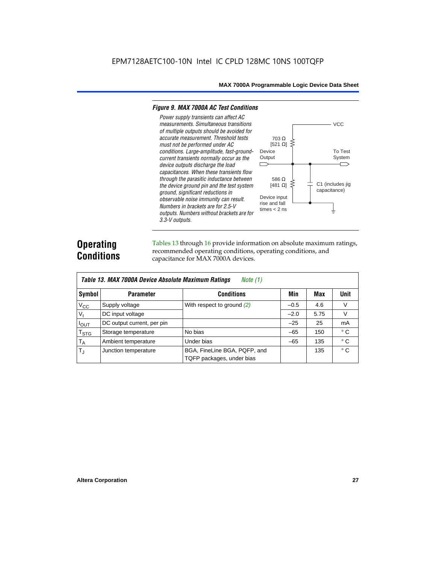#### *Figure 9. MAX 7000A AC Test Conditions*

*3.3-V outputs.*



# **Operating Conditions**

Tables 13 through 16 provide information on absolute maximum ratings, recommended operating conditions, operating conditions, and capacitance for MAX 7000A devices.

| Table 13. MAX 7000A Device Absolute Maximum Ratings<br>Note $(1)$ |                            |                                                           |        |      |              |  |  |  |  |
|-------------------------------------------------------------------|----------------------------|-----------------------------------------------------------|--------|------|--------------|--|--|--|--|
| Symbol                                                            | <b>Parameter</b>           | <b>Conditions</b>                                         | Min    | Max  | <b>Unit</b>  |  |  |  |  |
| $V_{CC}$                                                          | Supply voltage             | With respect to ground $(2)$                              | $-0.5$ | 4.6  | V            |  |  |  |  |
| $V_{I}$                                                           | DC input voltage           |                                                           | $-2.0$ | 5.75 | $\vee$       |  |  |  |  |
| $I_{OUT}$                                                         | DC output current, per pin |                                                           | $-25$  | 25   | mA           |  |  |  |  |
| <b>T<sub>STG</sub></b>                                            | Storage temperature        | No bias                                                   | $-65$  | 150  | $^{\circ}$ C |  |  |  |  |
| $T_A$                                                             | Ambient temperature        | Under bias                                                | $-65$  | 135  | $^{\circ}$ C |  |  |  |  |
| $T_{\rm J}$                                                       | Junction temperature       | BGA, FineLine BGA, PQFP, and<br>TQFP packages, under bias |        | 135  | $^{\circ}$ C |  |  |  |  |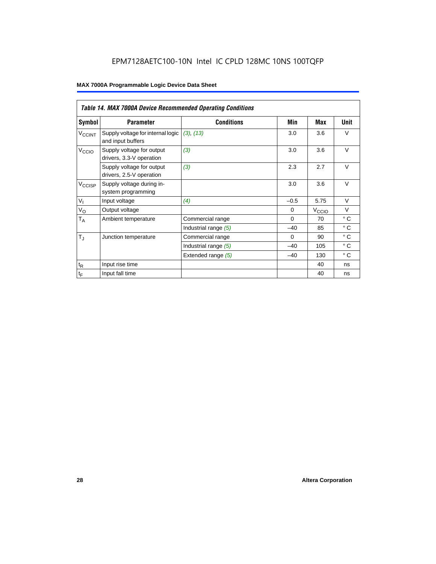|                          | <b>Table 14. MAX 7000A Device Recommended Operating Conditions</b> |                      |          |                   |              |  |  |  |  |  |
|--------------------------|--------------------------------------------------------------------|----------------------|----------|-------------------|--------------|--|--|--|--|--|
| Symbol                   | <b>Parameter</b>                                                   | <b>Conditions</b>    | Min      | Max               | Unit         |  |  |  |  |  |
| <b>V<sub>CCINT</sub></b> | Supply voltage for internal logic<br>and input buffers             | (3), (13)            | 3.0      | 3.6               | $\vee$       |  |  |  |  |  |
| V <sub>CCIO</sub>        | Supply voltage for output<br>drivers, 3.3-V operation              | (3)                  | 3.0      | 3.6               | $\vee$       |  |  |  |  |  |
|                          | Supply voltage for output<br>drivers, 2.5-V operation              | (3)                  | 2.3      | 2.7               | $\vee$       |  |  |  |  |  |
| $V_{\text{CCISP}}$       | Supply voltage during in-<br>system programming                    |                      | 3.0      | 3.6               | $\vee$       |  |  |  |  |  |
| $V_{I}$                  | Input voltage                                                      | (4)                  | $-0.5$   | 5.75              | $\vee$       |  |  |  |  |  |
| $V_{\rm O}$              | Output voltage                                                     |                      | $\Omega$ | V <sub>ccio</sub> | $\vee$       |  |  |  |  |  |
| $T_A$                    | Ambient temperature                                                | Commercial range     | $\Omega$ | 70                | $^{\circ}$ C |  |  |  |  |  |
|                          |                                                                    | Industrial range (5) | $-40$    | 85                | $^{\circ}$ C |  |  |  |  |  |
| $T_{\rm J}$              | Junction temperature                                               | Commercial range     | $\Omega$ | 90                | $^{\circ}$ C |  |  |  |  |  |
|                          |                                                                    | Industrial range (5) | $-40$    | 105               | $^{\circ}$ C |  |  |  |  |  |
|                          |                                                                    | Extended range (5)   | $-40$    | 130               | $^{\circ}$ C |  |  |  |  |  |
| $t_{\mathsf{R}}$         | Input rise time                                                    |                      |          | 40                | ns           |  |  |  |  |  |
| $t_F$                    | Input fall time                                                    |                      |          | 40                | ns           |  |  |  |  |  |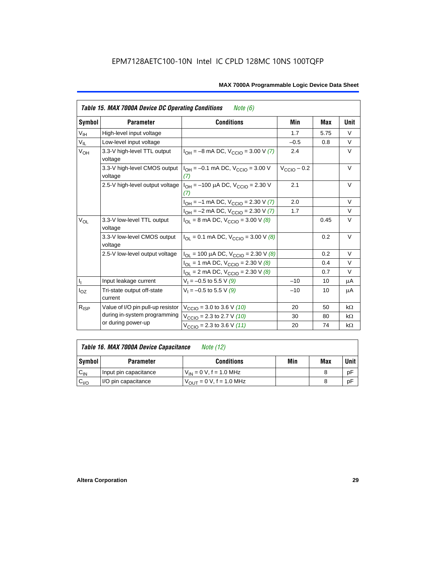| <b>Table 15. MAX 7000A Device DC Operating Conditions</b><br>Note (6) |                                                                                 |                                                                              |                         |      |             |  |  |  |  |
|-----------------------------------------------------------------------|---------------------------------------------------------------------------------|------------------------------------------------------------------------------|-------------------------|------|-------------|--|--|--|--|
| Symbol                                                                | <b>Parameter</b>                                                                | <b>Conditions</b>                                                            | Min                     | Max  | <b>Unit</b> |  |  |  |  |
| $V_{\text{IH}}$                                                       | High-level input voltage                                                        |                                                                              | 1.7                     | 5.75 | $\vee$      |  |  |  |  |
| $V_{IL}$                                                              | Low-level input voltage                                                         |                                                                              | $-0.5$                  | 0.8  | V           |  |  |  |  |
| $V_{OH}$                                                              | 3.3-V high-level TTL output<br>voltage                                          | $I_{OH} = -8$ mA DC, $V_{CClO} = 3.00$ V (7)                                 | 2.4                     |      | $\vee$      |  |  |  |  |
|                                                                       | 3.3-V high-level CMOS output<br>voltage                                         | $I_{OH} = -0.1$ mA DC, $V_{CCD} = 3.00$ V<br>(7)                             | $V_{\text{CCIO}} - 0.2$ |      | V           |  |  |  |  |
|                                                                       | 2.5-V high-level output voltage $ I_{OH} = -100 \mu A DC$ , $V_{CClO} = 2.30 V$ | 2.1                                                                          |                         | V    |             |  |  |  |  |
|                                                                       |                                                                                 | $I_{OH} = -1$ mA DC, $V_{CCIO} = 2.30$ V (7)                                 | 2.0                     |      | $\vee$      |  |  |  |  |
|                                                                       |                                                                                 | $I_{OH} = -2$ mA DC, $V_{CCIO} = 2.30$ V (7)                                 | 1.7                     |      | $\vee$      |  |  |  |  |
| $V_{OL}$                                                              | 3.3-V low-level TTL output<br>voltage                                           | $I_{OL}$ = 8 mA DC, $V_{CCIO}$ = 3.00 V (8)                                  |                         | 0.45 | $\vee$      |  |  |  |  |
|                                                                       | 3.3-V low-level CMOS output<br>voltage                                          | $I_{\text{OI}} = 0.1 \text{ mA DC}$ , $V_{\text{CCIO}} = 3.00 \text{ V}$ (8) |                         | 0.2  | V           |  |  |  |  |
|                                                                       | 2.5-V low-level output voltage                                                  | $I_{OL}$ = 100 µA DC, $V_{CCIO}$ = 2.30 V (8)                                |                         | 0.2  | $\vee$      |  |  |  |  |
|                                                                       |                                                                                 | $I_{OL}$ = 1 mA DC, $V_{CCIO}$ = 2.30 V (8)                                  |                         | 0.4  | $\vee$      |  |  |  |  |
|                                                                       |                                                                                 | $I_{OL}$ = 2 mA DC, $V_{CCIO}$ = 2.30 V (8)                                  |                         | 0.7  | V           |  |  |  |  |
| $\mathsf{I}_\mathrm{I}$                                               | Input leakage current                                                           | $V_1 = -0.5$ to 5.5 V (9)                                                    | $-10$                   | 10   | μA          |  |  |  |  |
| $I_{OZ}$                                                              | Tri-state output off-state<br>current                                           | $V_1 = -0.5$ to 5.5 V (9)                                                    | $-10$                   | 10   | μA          |  |  |  |  |
| $R_{ISP}$                                                             | Value of I/O pin pull-up resistor                                               | $V_{\text{CCIO}} = 3.0$ to 3.6 V (10)                                        | 20                      | 50   | $k\Omega$   |  |  |  |  |
|                                                                       | during in-system programming                                                    | $V_{\text{CCIO}}$ = 2.3 to 2.7 V (10)                                        | 30                      | 80   | $k\Omega$   |  |  |  |  |
|                                                                       | or during power-up                                                              | $V_{\text{CCIO}} = 2.3$ to 3.6 V (11)                                        | 20                      | 74   | $k\Omega$   |  |  |  |  |

| Table 16. MAX 7000A Device Capacitance<br>Note (12) |  |
|-----------------------------------------------------|--|
|-----------------------------------------------------|--|

| Symbol    | <b>Parameter</b>      | <b>Conditions</b>                   | Min | Max | Unit |
|-----------|-----------------------|-------------------------------------|-----|-----|------|
| $C_{IN}$  | Input pin capacitance | $V_{IN} = 0$ V, f = 1.0 MHz         |     |     | рF   |
| $v_{1/0}$ | I/O pin capacitance   | $V_{\text{OUT}} = 0 V, f = 1.0 MHz$ |     |     | рF   |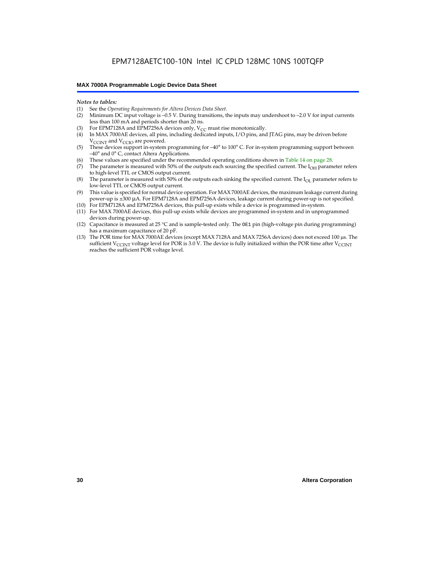#### *Notes to tables:*

- (1) See the *Operating Requirements for Altera Devices Data Sheet.*
- Minimum DC input voltage is –0.5 V. During transitions, the inputs may undershoot to –2.0 V for input currents less than 100 mA and periods shorter than 20 ns.
- (3) For EPM7128A and EPM7256A devices only,  $V_{CC}$  must rise monotonically.
- (4) In MAX 7000AE devices, all pins, including dedicated inputs, I/O pins, and JTAG pins, may be driven before V<sub>CCINT</sub> and V<sub>CCIO</sub> are powered.
- (5) These devices support in-system programming for –40° to 100° C. For in-system programming support between –40° and 0° C, contact Altera Applications.
- (6) These values are specified under the recommended operating conditions shown in Table 14 on page 28.
- (7) The parameter is measured with 50% of the outputs each sourcing the specified current. The  $I_{OH}$  parameter refers to high-level TTL or CMOS output current.
- (8) The parameter is measured with 50% of the outputs each sinking the specified current. The  $I_{OL}$  parameter refers to low-level TTL or CMOS output current.
- (9) This value is specified for normal device operation. For MAX 7000AE devices, the maximum leakage current during power-up is ±300 µA. For EPM7128A and EPM7256A devices, leakage current during power-up is not specified.
- (10) For EPM7128A and EPM7256A devices, this pull-up exists while a device is programmed in-system.
- (11) For MAX 7000AE devices, this pull-up exists while devices are programmed in-system and in unprogrammed devices during power-up.
- (12) Capacitance is measured at 25 °C and is sample-tested only. The OE1 pin (high-voltage pin during programming) has a maximum capacitance of 20 pF.
- (13) The POR time for MAX 7000AE devices (except MAX 7128A and MAX 7256A devices) does not exceed 100 µs. The sufficient V<sub>CCINT</sub> voltage level for POR is 3.0 V. The device is fully initialized within the POR time after V<sub>CCINT</sub> reaches the sufficient POR voltage level.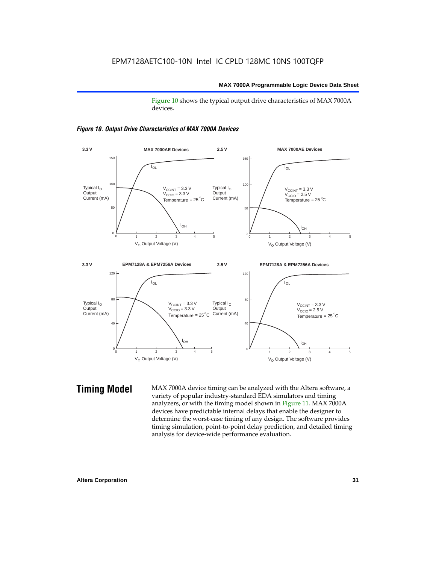Figure 10 shows the typical output drive characteristics of MAX 7000A devices.





**Timing Model** MAX 7000A device timing can be analyzed with the Altera software, a variety of popular industry-standard EDA simulators and timing analyzers, or with the timing model shown in Figure 11. MAX 7000A devices have predictable internal delays that enable the designer to determine the worst-case timing of any design. The software provides timing simulation, point-to-point delay prediction, and detailed timing analysis for device-wide performance evaluation.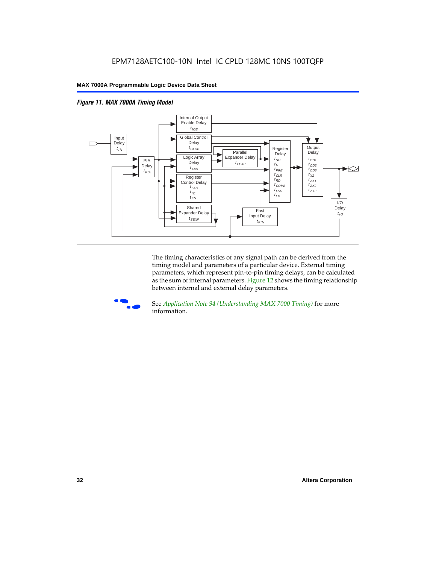



The timing characteristics of any signal path can be derived from the timing model and parameters of a particular device. External timing parameters, which represent pin-to-pin timing delays, can be calculated as the sum of internal parameters. Figure 12 shows the timing relationship between internal and external delay parameters.



f See *Application Note 94 (Understanding MAX 7000 Timing)* for more information.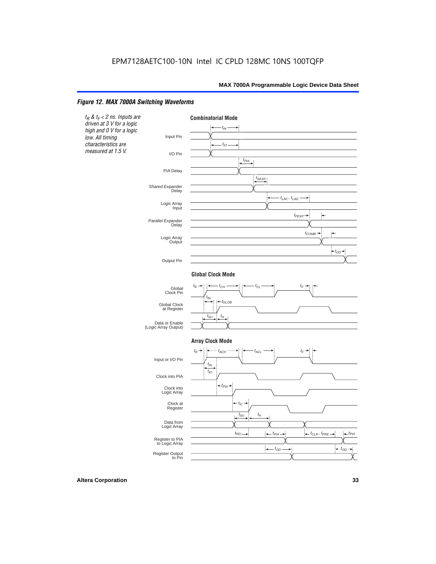### *Figure 12. MAX 7000A Switching Waveforms*

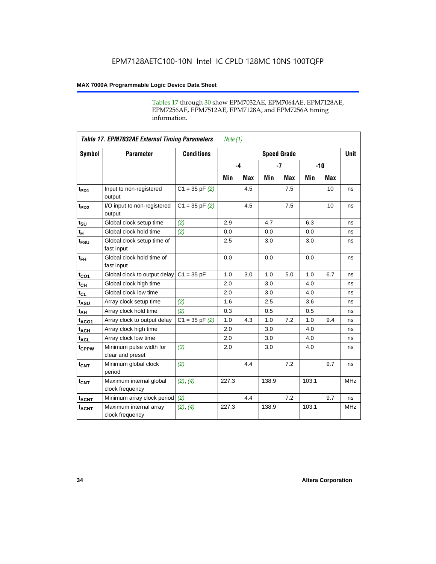Tables 17 through 30 show EPM7032AE, EPM7064AE, EPM7128AE, EPM7256AE, EPM7512AE, EPM7128A, and EPM7256A timing information.

|                         | <b>Table 17. EPM7032AE External Timing Parameters</b><br>Note $(1)$ |                    |       |            |                    |            |       |       |             |
|-------------------------|---------------------------------------------------------------------|--------------------|-------|------------|--------------------|------------|-------|-------|-------------|
| Symbol                  | <b>Parameter</b>                                                    | <b>Conditions</b>  |       |            | <b>Speed Grade</b> |            |       |       | <b>Unit</b> |
|                         |                                                                     |                    | $-4$  |            |                    | $-7$       |       | $-10$ |             |
|                         |                                                                     |                    | Min   | <b>Max</b> | Min                | <b>Max</b> | Min   | Max   |             |
| t <sub>PD1</sub>        | Input to non-registered<br>output                                   | $C1 = 35$ pF $(2)$ |       | 4.5        |                    | 7.5        |       | 10    | ns          |
| $t_{PD2}$               | I/O input to non-registered<br>output                               | $C1 = 35 pF(2)$    |       | 4.5        |                    | 7.5        |       | 10    | ns          |
| $t_{\text{SU}}$         | Global clock setup time                                             | (2)                | 2.9   |            | 4.7                |            | 6.3   |       | ns          |
| $t_H$                   | Global clock hold time                                              | (2)                | 0.0   |            | 0.0                |            | 0.0   |       | ns          |
| t <sub>FSU</sub>        | Global clock setup time of<br>fast input                            |                    | 2.5   |            | 3.0                |            | 3.0   |       | ns          |
| $t_{FH}$                | Global clock hold time of<br>fast input                             |                    | 0.0   |            | 0.0                |            | 0.0   |       | ns          |
| $t_{CO1}$               | Global clock to output delay                                        | $C1 = 35 pF$       | 1.0   | 3.0        | 1.0                | 5.0        | 1.0   | 6.7   | ns          |
| $t_{CH}$                | Global clock high time                                              |                    | 2.0   |            | 3.0                |            | 4.0   |       | ns          |
| $t_{CL}$                | Global clock low time                                               |                    | 2.0   |            | 3.0                |            | 4.0   |       | ns          |
| t <sub>ASU</sub>        | Array clock setup time                                              | (2)                | 1.6   |            | 2.5                |            | 3.6   |       | ns          |
| t <sub>АН</sub>         | Array clock hold time                                               | (2)                | 0.3   |            | 0.5                |            | 0.5   |       | ns          |
| t <sub>ACO1</sub>       | Array clock to output delay                                         | $C1 = 35 pF(2)$    | 1.0   | 4.3        | 1.0                | 7.2        | 1.0   | 9.4   | ns          |
| $t_{ACH}$               | Array clock high time                                               |                    | 2.0   |            | 3.0                |            | 4.0   |       | ns          |
| $t_{ACL}$               | Array clock low time                                                |                    | 2.0   |            | 3.0                |            | 4.0   |       | ns          |
| tcPPW                   | Minimum pulse width for<br>clear and preset                         | (3)                | 2.0   |            | 3.0                |            | 4.0   |       | ns          |
| $t_{CNT}$               | Minimum global clock<br>period                                      | (2)                |       | 4.4        |                    | 7.2        |       | 9.7   | ns          |
| $f_{\mathsf{CNT}}$      | Maximum internal global<br>clock frequency                          | (2), (4)           | 227.3 |            | 138.9              |            | 103.1 |       | <b>MHz</b>  |
| <b>t<sub>ACNT</sub></b> | Minimum array clock period                                          | (2)                |       | 4.4        |                    | 7.2        |       | 9.7   | ns          |
| $f_{ACNT}$              | Maximum internal array<br>clock frequency                           | (2), (4)           | 227.3 |            | 138.9              |            | 103.1 |       | <b>MHz</b>  |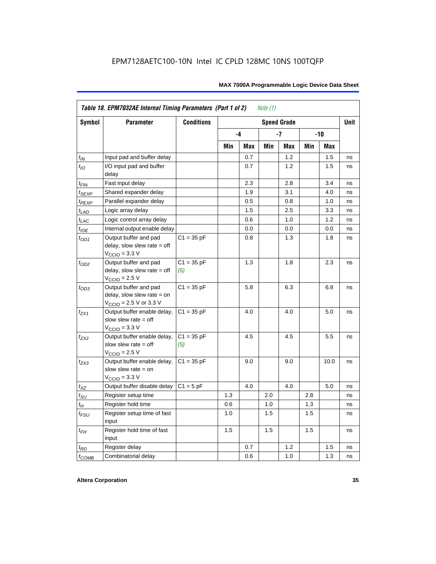|                  | Table 18. EPM7032AE Internal Timing Parameters (Part 1 of 2)<br>Note $(1)$                                   |                     |     |     |     |                    |     |      |             |
|------------------|--------------------------------------------------------------------------------------------------------------|---------------------|-----|-----|-----|--------------------|-----|------|-------------|
| Symbol           | <b>Parameter</b>                                                                                             | <b>Conditions</b>   |     |     |     | <b>Speed Grade</b> |     |      | <b>Unit</b> |
|                  |                                                                                                              |                     |     | -4  |     | -7                 |     | -10  |             |
|                  |                                                                                                              |                     | Min | Max | Min | Max                | Min | Max  |             |
| $t_{IN}$         | Input pad and buffer delay                                                                                   |                     |     | 0.7 |     | 1.2                |     | 1.5  | ns          |
| $t_{IO}$         | I/O input pad and buffer<br>delay                                                                            |                     |     | 0.7 |     | 1.2                |     | 1.5  | ns          |
| $t_{\sf FIN}$    | Fast input delay                                                                                             |                     |     | 2.3 |     | 2.8                |     | 3.4  | ns          |
| $t_{SEXP}$       | Shared expander delay                                                                                        |                     |     | 1.9 |     | 3.1                |     | 4.0  | ns          |
| $t_{PEXP}$       | Parallel expander delay                                                                                      |                     |     | 0.5 |     | 0.8                |     | 1.0  | ns          |
| $t_{LAD}$        | Logic array delay                                                                                            |                     |     | 1.5 |     | 2.5                |     | 3.3  | ns          |
| $t_{LAC}$        | Logic control array delay                                                                                    |                     |     | 0.6 |     | 1.0                |     | 1.2  | ns          |
| $t_{IOE}$        | Internal output enable delay                                                                                 |                     |     | 0.0 |     | 0.0                |     | 0.0  | ns          |
| $t_{OD1}$        | Output buffer and pad<br>delay, slow slew rate $=$ off<br>$V_{\text{CCIO}} = 3.3 \text{ V}$                  | $C1 = 35 pF$        |     | 0.8 |     | 1.3                |     | 1.8  | ns          |
| $t_{OD2}$        | Output buffer and pad<br>delay, slow slew rate $=$ off<br>$VCCIO = 2.5 V$                                    | $C1 = 35 pF$<br>(5) |     | 1.3 |     | 1.8                |     | 2.3  | ns          |
| $t_{OD3}$        | Output buffer and pad<br>delay, slow slew rate $=$ on<br>$V_{\text{CCIO}} = 2.5 \text{ V or } 3.3 \text{ V}$ | $C1 = 35 pF$        |     | 5.8 |     | 6.3                |     | 6.8  | ns          |
| $t_{ZX1}$        | Output buffer enable delay,<br>slow slew rate $=$ off<br>$V_{\text{CCIO}} = 3.3 \text{ V}$                   | $C1 = 35 pF$        |     | 4.0 |     | 4.0                |     | 5.0  | ns          |
| t <sub>ZX2</sub> | Output buffer enable delay,<br>slow slew rate $=$ off<br>$V_{\text{CCIO}}$ = 2.5 V                           | $C1 = 35 pF$<br>(5) |     | 4.5 |     | 4.5                |     | 5.5  | ns          |
| $t_{ZX3}$        | Output buffer enable delay,<br>slow slew rate $=$ on<br>$V_{\text{CCIO}} = 3.3 \text{ V}$                    | $C1 = 35 pF$        |     | 9.0 |     | 9.0                |     | 10.0 | ns          |
| $t_{XZ}$         | Output buffer disable delay                                                                                  | $C1 = 5pF$          |     | 4.0 |     | 4.0                |     | 5.0  | ns          |
| $t_{\text{SU}}$  | Register setup time                                                                                          |                     | 1.3 |     | 2.0 |                    | 2.8 |      | ns          |
| $t_H$            | Register hold time                                                                                           |                     | 0.6 |     | 1.0 |                    | 1.3 |      | ns          |
| $t_{FSU}$        | Register setup time of fast<br>input                                                                         |                     | 1.0 |     | 1.5 |                    | 1.5 |      | ns          |
| $t_{FH}$         | Register hold time of fast<br>input                                                                          |                     | 1.5 |     | 1.5 |                    | 1.5 |      | ns          |
| $t_{RD}$         | Register delay                                                                                               |                     |     | 0.7 |     | 1.2                |     | 1.5  | ns          |
| $t_{COMB}$       | Combinatorial delay                                                                                          |                     |     | 0.6 |     | 1.0                |     | 1.3  | ns          |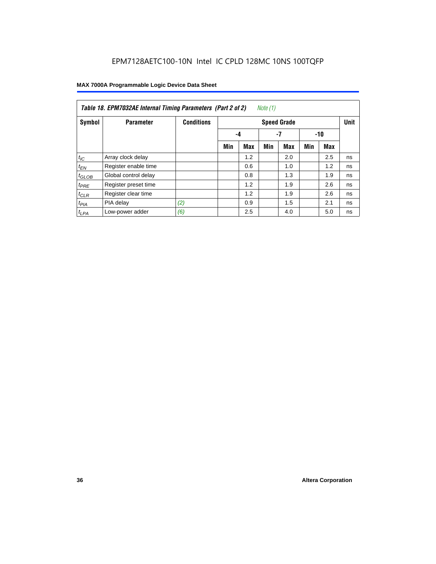| Note (1)<br>Table 18. EPM7032AE Internal Timing Parameters (Part 2 of 2) |                      |                   |                    |            |     |            |       |     |             |
|--------------------------------------------------------------------------|----------------------|-------------------|--------------------|------------|-----|------------|-------|-----|-------------|
| Symbol                                                                   | <b>Parameter</b>     | <b>Conditions</b> | <b>Speed Grade</b> |            |     |            |       |     | <b>Unit</b> |
|                                                                          |                      |                   |                    | -4         |     | -7         | $-10$ |     |             |
|                                                                          |                      |                   | Min                | <b>Max</b> | Min | <b>Max</b> | Min   | Max |             |
| $t_{IC}$                                                                 | Array clock delay    |                   |                    | 1.2        |     | 2.0        |       | 2.5 | ns          |
| $t_{EN}$                                                                 | Register enable time |                   |                    | 0.6        |     | 1.0        |       | 1.2 | ns          |
| $t_{GLOB}$                                                               | Global control delay |                   |                    | 0.8        |     | 1.3        |       | 1.9 | ns          |
| $t_{PRE}$                                                                | Register preset time |                   |                    | 1.2        |     | 1.9        |       | 2.6 | ns          |
| $t_{CLR}$                                                                | Register clear time  |                   |                    | 1.2        |     | 1.9        |       | 2.6 | ns          |
| $t_{PIA}$                                                                | PIA delay            | (2)               |                    | 0.9        |     | 1.5        |       | 2.1 | ns          |
| $t_{LPA}$                                                                | Low-power adder      | (6)               |                    | 2.5        |     | 4.0        |       | 5.0 | ns          |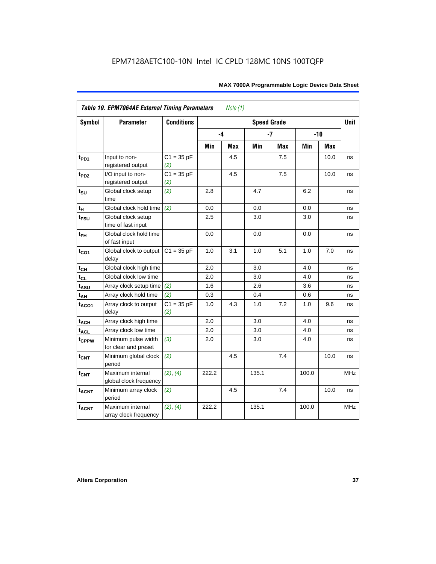| Symbol            | <b>Parameter</b>                            | <b>Conditions</b>   | <b>Speed Grade</b> |     |       |            |       |       |            |
|-------------------|---------------------------------------------|---------------------|--------------------|-----|-------|------------|-------|-------|------------|
|                   |                                             |                     | -4                 |     |       | $-7$       |       | $-10$ |            |
|                   |                                             |                     | Min                | Max | Min   | <b>Max</b> | Min   | Max   |            |
| t <sub>PD1</sub>  | Input to non-<br>registered output          | $C1 = 35 pF$<br>(2) |                    | 4.5 |       | 7.5        |       | 10.0  | ns         |
| t <sub>PD2</sub>  | I/O input to non-<br>registered output      | $C1 = 35 pF$<br>(2) |                    | 4.5 |       | 7.5        |       | 10.0  | ns         |
| $t_{\text{SU}}$   | Global clock setup<br>time                  | (2)                 | 2.8                |     | 4.7   |            | 6.2   |       | ns         |
| tμ                | Global clock hold time                      | (2)                 | 0.0                |     | 0.0   |            | 0.0   |       | ns         |
| $t_{FSU}$         | Global clock setup<br>time of fast input    |                     | 2.5                |     | 3.0   |            | 3.0   |       | ns         |
| $t_{FH}$          | Global clock hold time<br>of fast input     |                     | 0.0                |     | 0.0   |            | 0.0   |       | ns         |
| $t_{CO1}$         | Global clock to output<br>delay             | $C1 = 35 pF$        | 1.0                | 3.1 | 1.0   | 5.1        | 1.0   | 7.0   | ns         |
| $t_{CH}$          | Global clock high time                      |                     | 2.0                |     | 3.0   |            | 4.0   |       | ns         |
| $t_{CL}$          | Global clock low time                       |                     | 2.0                |     | 3.0   |            | 4.0   |       | ns         |
| t <sub>ASU</sub>  | Array clock setup time                      | (2)                 | 1.6                |     | 2.6   |            | 3.6   |       | ns         |
| $t_{AH}$          | Array clock hold time                       | (2)                 | 0.3                |     | 0.4   |            | 0.6   |       | ns         |
| t <sub>ACO1</sub> | Array clock to output<br>delay              | $C1 = 35 pF$<br>(2) | 1.0                | 4.3 | 1.0   | 7.2        | 1.0   | 9.6   | ns         |
| $t_{ACH}$         | Array clock high time                       |                     | 2.0                |     | 3.0   |            | 4.0   |       | ns         |
| t <sub>ACL</sub>  | Array clock low time                        |                     | 2.0                |     | 3.0   |            | 4.0   |       | ns         |
| t <sub>CPPW</sub> | Minimum pulse width<br>for clear and preset | (3)                 | 2.0                |     | 3.0   |            | 4.0   |       | ns         |
| $t_{\text{CNT}}$  | Minimum global clock<br>period              | (2)                 |                    | 4.5 |       | 7.4        |       | 10.0  | ns         |
| $f_{CNT}$         | Maximum internal<br>global clock frequency  | (2), (4)            | 222.2              |     | 135.1 |            | 100.0 |       | <b>MHz</b> |
| $t_{ACNT}$        | Minimum array clock<br>period               | (2)                 |                    | 4.5 |       | 7.4        |       | 10.0  | ns         |
| <b>fACNT</b>      | Maximum internal<br>array clock frequency   | (2), (4)            | 222.2              |     | 135.1 |            | 100.0 |       | MHz        |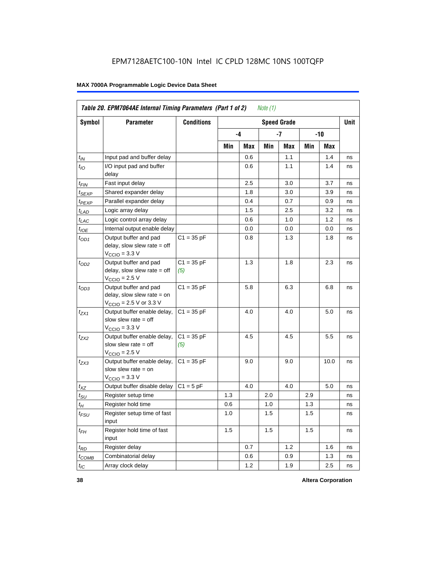| Table 20. EPM7064AE Internal Timing Parameters (Part 1 of 2)<br>Note $(1)$ |                                                                                                              |                     |     |      |     |                    |     |       |             |  |  |
|----------------------------------------------------------------------------|--------------------------------------------------------------------------------------------------------------|---------------------|-----|------|-----|--------------------|-----|-------|-------------|--|--|
| <b>Symbol</b>                                                              | <b>Parameter</b>                                                                                             | <b>Conditions</b>   |     |      |     | <b>Speed Grade</b> |     |       | <b>Unit</b> |  |  |
|                                                                            |                                                                                                              |                     |     | $-4$ |     | -7                 |     | $-10$ |             |  |  |
|                                                                            |                                                                                                              |                     | Min | Max  | Min | Max                | Min | Max   |             |  |  |
| $t_{IN}$                                                                   | Input pad and buffer delay                                                                                   |                     |     | 0.6  |     | 1.1                |     | 1.4   | ns          |  |  |
| $t_{IO}$                                                                   | I/O input pad and buffer<br>delay                                                                            |                     |     | 0.6  |     | 1.1                |     | 1.4   | ns          |  |  |
| $t_{FIN}$                                                                  | Fast input delay                                                                                             |                     |     | 2.5  |     | 3.0                |     | 3.7   | ns          |  |  |
| t <sub>SEXP</sub>                                                          | Shared expander delay                                                                                        |                     |     | 1.8  |     | 3.0                |     | 3.9   | ns          |  |  |
| t <sub>PEXP</sub>                                                          | Parallel expander delay                                                                                      |                     |     | 0.4  |     | 0.7                |     | 0.9   | ns          |  |  |
| $t_{LAD}$                                                                  | Logic array delay                                                                                            |                     |     | 1.5  |     | 2.5                |     | 3.2   | ns          |  |  |
| $t_{LAC}$                                                                  | Logic control array delay                                                                                    |                     |     | 0.6  |     | 1.0                |     | 1.2   | ns          |  |  |
| $t_{IOE}$                                                                  | Internal output enable delay                                                                                 |                     |     | 0.0  |     | 0.0                |     | 0.0   | ns          |  |  |
| $t_{OD1}$                                                                  | Output buffer and pad<br>delay, slow slew rate $=$ off<br>$V_{\text{CCIO}} = 3.3 \text{ V}$                  | $C1 = 35 pF$        |     | 0.8  |     | 1.3                |     | 1.8   | ns          |  |  |
| $t_{OD2}$                                                                  | Output buffer and pad<br>delay, slow slew rate $=$ off<br>$V_{\text{CCIO}}$ = 2.5 V                          | $C1 = 35 pF$<br>(5) |     | 1.3  |     | 1.8                |     | 2.3   | ns          |  |  |
| $t_{OD3}$                                                                  | Output buffer and pad<br>delay, slow slew rate $=$ on<br>$V_{\text{CCIO}} = 2.5 \text{ V or } 3.3 \text{ V}$ | $C1 = 35 pF$        |     | 5.8  |     | 6.3                |     | 6.8   | ns          |  |  |
| $t_{ZX1}$                                                                  | Output buffer enable delay,<br>slow slew rate $=$ off<br>$V_{\text{CCIO}} = 3.3 \text{ V}$                   | $C1 = 35 pF$        |     | 4.0  |     | 4.0                |     | 5.0   | ns          |  |  |
| $t_{ZX2}$                                                                  | Output buffer enable delay,<br>slow slew rate $=$ off<br>$V_{\text{CCIO}} = 2.5 V$                           | $C1 = 35 pF$<br>(5) |     | 4.5  |     | 4.5                |     | 5.5   | ns          |  |  |
| $t_{ZX3}$                                                                  | Output buffer enable delay,<br>slow slew rate $=$ on<br>$V_{\text{CCIO}} = 3.3 \text{ V}$                    | $C1 = 35 pF$        |     | 9.0  |     | 9.0                |     | 10.0  | ns          |  |  |
| $t_{XZ}$                                                                   | Output buffer disable delay                                                                                  | $C1 = 5pF$          |     | 4.0  |     | 4.0                |     | 5.0   | ns          |  |  |
| $t_{\text{SU}}$                                                            | Register setup time                                                                                          |                     | 1.3 |      | 2.0 |                    | 2.9 |       | ns          |  |  |
| $t_H$                                                                      | Register hold time                                                                                           |                     | 0.6 |      | 1.0 |                    | 1.3 |       | ns          |  |  |
| $t_{FSU}$                                                                  | Register setup time of fast<br>input                                                                         |                     | 1.0 |      | 1.5 |                    | 1.5 |       | ns          |  |  |
| $t_{FH}$                                                                   | Register hold time of fast<br>input                                                                          |                     | 1.5 |      | 1.5 |                    | 1.5 |       | ns          |  |  |
| $t_{RD}$                                                                   | Register delay                                                                                               |                     |     | 0.7  |     | 1.2                |     | 1.6   | ns          |  |  |
| $t_{COMB}$                                                                 | Combinatorial delay                                                                                          |                     |     | 0.6  |     | 0.9                |     | 1.3   | ns          |  |  |
| $t_{IC}$                                                                   | Array clock delay                                                                                            |                     |     | 1.2  |     | 1.9                |     | 2.5   | ns          |  |  |

**38 Altera Corporation**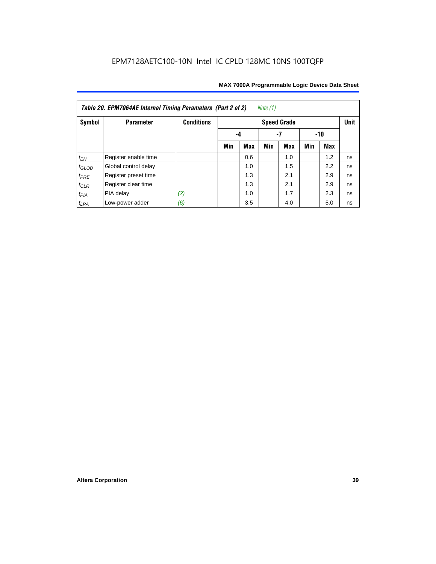| Note $(1)$<br>Table 20. EPM7064AE Internal Timing Parameters (Part 2 of 2) |                      |                   |     |            |     |                    |     |     |             |  |  |
|----------------------------------------------------------------------------|----------------------|-------------------|-----|------------|-----|--------------------|-----|-----|-------------|--|--|
| Symbol                                                                     | <b>Parameter</b>     | <b>Conditions</b> |     |            |     | <b>Speed Grade</b> |     |     | <b>Unit</b> |  |  |
|                                                                            |                      |                   | -4  | -10        |     |                    |     |     |             |  |  |
|                                                                            |                      |                   | Min | <b>Max</b> | Min | <b>Max</b>         | Min | Max |             |  |  |
| $t_{EN}$                                                                   | Register enable time |                   |     | 0.6        |     | 1.0                |     | 1.2 | ns          |  |  |
| $t_{\text{GLOB}}$                                                          | Global control delay |                   |     | 1.0        |     | 1.5                |     | 2.2 | ns          |  |  |
| $t_{PRE}$                                                                  | Register preset time |                   |     | 1.3        |     | 2.1                |     | 2.9 | ns          |  |  |
| $t_{CLR}$                                                                  | Register clear time  |                   |     | 1.3        |     | 2.1                |     | 2.9 | ns          |  |  |
| $t_{PIA}$                                                                  | PIA delay            | (2)               |     | 1.0        |     | 1.7                |     | 2.3 | ns          |  |  |
| $t_{LPA}$                                                                  | Low-power adder      | (6)               |     | 3.5        |     | 4.0                |     | 5.0 | ns          |  |  |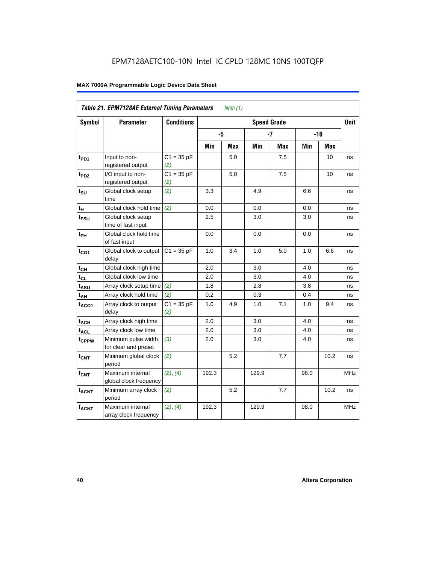| Table 21. EPM7128AE External Timing Parameters<br>Note $(1)$ |                                             |                     |       |            |                    |            |      |            |             |  |
|--------------------------------------------------------------|---------------------------------------------|---------------------|-------|------------|--------------------|------------|------|------------|-------------|--|
| Symbol                                                       | <b>Parameter</b>                            | <b>Conditions</b>   |       |            | <b>Speed Grade</b> |            |      |            | <b>Unit</b> |  |
|                                                              |                                             |                     | -5    |            |                    | $-7$       |      | $-10$      |             |  |
|                                                              |                                             |                     | Min   | <b>Max</b> | Min                | <b>Max</b> | Min  | <b>Max</b> |             |  |
| t <sub>PD1</sub>                                             | Input to non-<br>registered output          | $C1 = 35 pF$<br>(2) |       | 5.0        |                    | 7.5        |      | 10         | ns          |  |
| t <sub>PD2</sub>                                             | I/O input to non-<br>registered output      | $C1 = 35 pF$<br>(2) |       | 5.0        |                    | 7.5        |      | 10         | ns          |  |
| $t_{\text{SU}}$                                              | Global clock setup<br>time                  | (2)                 | 3.3   |            | 4.9                |            | 6.6  |            | ns          |  |
| $t_H$                                                        | Global clock hold time                      | (2)                 | 0.0   |            | 0.0                |            | 0.0  |            | ns          |  |
| t <sub>FSU</sub>                                             | Global clock setup<br>time of fast input    |                     | 2.5   |            | 3.0                |            | 3.0  |            | ns          |  |
| $t_{FH}$                                                     | Global clock hold time<br>of fast input     |                     | 0.0   |            | 0.0                |            | 0.0  |            | ns          |  |
| $t_{CO1}$                                                    | Global clock to output<br>delay             | $C1 = 35 pF$        | 1.0   | 3.4        | 1.0                | 5.0        | 1.0  | 6.6        | ns          |  |
| $t_{CH}$                                                     | Global clock high time                      |                     | 2.0   |            | 3.0                |            | 4.0  |            | ns          |  |
| $t_{CL}$                                                     | Global clock low time                       |                     | 2.0   |            | 3.0                |            | 4.0  |            | ns          |  |
| t <sub>ASU</sub>                                             | Array clock setup time                      | (2)                 | 1.8   |            | 2.8                |            | 3.8  |            | ns          |  |
| $t_{AH}$                                                     | Array clock hold time                       | (2)                 | 0.2   |            | 0.3                |            | 0.4  |            | ns          |  |
| $t_{ACO1}$                                                   | Array clock to output<br>delay              | $C1 = 35 pF$<br>(2) | 1.0   | 4.9        | 1.0                | 7.1        | 1.0  | 9.4        | ns          |  |
| $t_{ACH}$                                                    | Array clock high time                       |                     | 2.0   |            | 3.0                |            | 4.0  |            | ns          |  |
| t <sub>ACL</sub>                                             | Array clock low time                        |                     | 2.0   |            | 3.0                |            | 4.0  |            | ns          |  |
| t <sub>CPPW</sub>                                            | Minimum pulse width<br>for clear and preset | (3)                 | 2.0   |            | 3.0                |            | 4.0  |            | ns          |  |
| $t_{\text{CNT}}$                                             | Minimum global clock<br>period              | (2)                 |       | 5.2        |                    | 7.7        |      | 10.2       | ns          |  |
| $f_{CNT}$                                                    | Maximum internal<br>global clock frequency  | (2), (4)            | 192.3 |            | 129.9              |            | 98.0 |            | <b>MHz</b>  |  |
| $t_{ACNT}$                                                   | Minimum array clock<br>period               | (2)                 |       | 5.2        |                    | 7.7        |      | 10.2       | ns          |  |
| <b>fACNT</b>                                                 | Maximum internal<br>array clock frequency   | (2), (4)            | 192.3 |            | 129.9              |            | 98.0 |            | MHz         |  |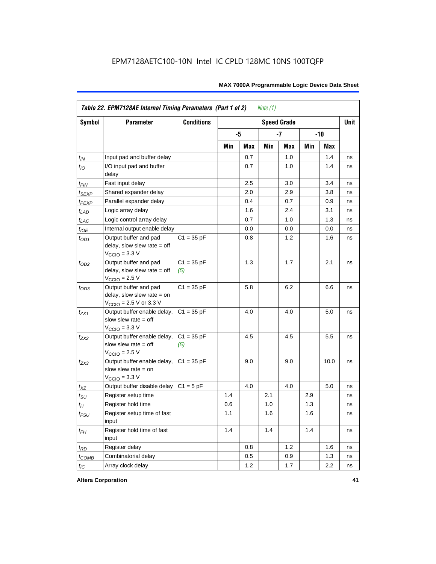|                    | Table 22. EPM7128AE Internal Timing Parameters (Part 1 of 2)<br>Note $(1)$                  |                     |     |     |     |                    |     |       |             |  |  |  |
|--------------------|---------------------------------------------------------------------------------------------|---------------------|-----|-----|-----|--------------------|-----|-------|-------------|--|--|--|
| Symbol             | <b>Parameter</b>                                                                            | <b>Conditions</b>   |     |     |     | <b>Speed Grade</b> |     |       | <b>Unit</b> |  |  |  |
|                    |                                                                                             |                     |     | -5  |     | $-7$               |     | $-10$ |             |  |  |  |
|                    |                                                                                             |                     | Min | Max | Min | Max                | Min | Max   |             |  |  |  |
| $t_{IN}$           | Input pad and buffer delay                                                                  |                     |     | 0.7 |     | 1.0                |     | 1.4   | ns          |  |  |  |
| $t_{IO}$           | I/O input pad and buffer<br>delay                                                           |                     |     | 0.7 |     | $1.0\,$            |     | 1.4   | ns          |  |  |  |
| $t_{\mathsf{FIN}}$ | Fast input delay                                                                            |                     |     | 2.5 |     | 3.0                |     | 3.4   | ns          |  |  |  |
| $t_{SEXP}$         | Shared expander delay                                                                       |                     |     | 2.0 |     | 2.9                |     | 3.8   | ns          |  |  |  |
| $t_{PEXP}$         | Parallel expander delay                                                                     |                     |     | 0.4 |     | 0.7                |     | 0.9   | ns          |  |  |  |
| $t_{LAD}$          | Logic array delay                                                                           |                     |     | 1.6 |     | 2.4                |     | 3.1   | ns          |  |  |  |
| $t_{LAC}$          | Logic control array delay                                                                   |                     |     | 0.7 |     | 1.0                |     | 1.3   | ns          |  |  |  |
| $t_{IOE}$          | Internal output enable delay                                                                |                     |     | 0.0 |     | 0.0                |     | 0.0   | ns          |  |  |  |
| $t_{OD1}$          | Output buffer and pad<br>delay, slow slew rate $=$ off<br>$V_{\text{CCIO}} = 3.3 \text{ V}$ | $C1 = 35 pF$        |     | 0.8 |     | 1.2                |     | 1.6   | ns          |  |  |  |
| $t_{OD2}$          | Output buffer and pad<br>delay, slow slew rate $=$ off<br>$V_{\text{CCIO}}$ = 2.5 V         | $C1 = 35 pF$<br>(5) |     | 1.3 |     | 1.7                |     | 2.1   | ns          |  |  |  |
| $t_{OD3}$          | Output buffer and pad<br>delay, slow slew rate $=$ on<br>$V_{\text{CCIO}}$ = 2.5 V or 3.3 V | $C1 = 35 pF$        |     | 5.8 |     | 6.2                |     | 6.6   | ns          |  |  |  |
| $t_{ZX1}$          | Output buffer enable delay,<br>slow slew rate $=$ off<br>$V_{\text{CCIO}} = 3.3 \text{ V}$  | $C1 = 35 pF$        |     | 4.0 |     | 4.0                |     | 5.0   | ns          |  |  |  |
| $t_{7X2}$          | Output buffer enable delay,<br>slow slew rate $=$ off<br>$V_{\text{CCIO}} = 2.5 V$          | $C1 = 35 pF$<br>(5) |     | 4.5 |     | 4.5                |     | 5.5   | ns          |  |  |  |
| $t_{ZX3}$          | Output buffer enable delay,<br>slow slew rate $=$ on<br>$V_{\text{CCIO}} = 3.3 \text{ V}$   | $C1 = 35 pF$        |     | 9.0 |     | 9.0                |     | 10.0  | ns          |  |  |  |
| $t_{XZ}$           | Output buffer disable delay                                                                 | $C1 = 5pF$          |     | 4.0 |     | 4.0                |     | 5.0   | ns          |  |  |  |
| $t_{\text{SU}}$    | Register setup time                                                                         |                     | 1.4 |     | 2.1 |                    | 2.9 |       | ns          |  |  |  |
| $t_H$              | Register hold time                                                                          |                     | 0.6 |     | 1.0 |                    | 1.3 |       | ns          |  |  |  |
| $t_{FSU}$          | Register setup time of fast<br>input                                                        |                     | 1.1 |     | 1.6 |                    | 1.6 |       | ns          |  |  |  |
| $t_{FH}$           | Register hold time of fast<br>input                                                         |                     | 1.4 |     | 1.4 |                    | 1.4 |       | ns          |  |  |  |
| $t_{RD}$           | Register delay                                                                              |                     |     | 0.8 |     | 1.2                |     | 1.6   | ns          |  |  |  |
| $t_{COMB}$         | Combinatorial delay                                                                         |                     |     | 0.5 |     | 0.9                |     | 1.3   | ns          |  |  |  |
| $t_{IC}$           | Array clock delay                                                                           |                     |     | 1.2 |     | 1.7                |     | 2.2   | ns          |  |  |  |

**Altera Corporation 41**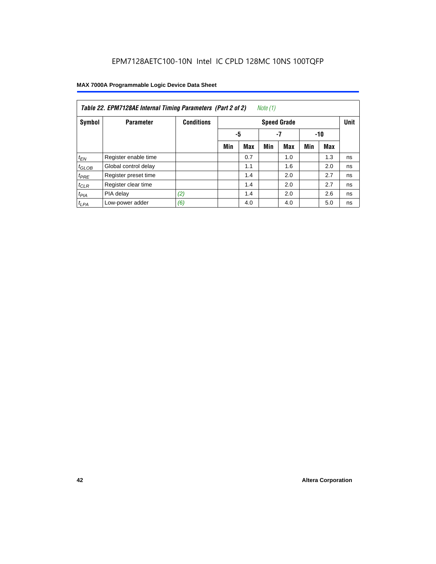| Note (1)<br>Table 22. EPM7128AE Internal Timing Parameters (Part 2 of 2) |                      |                   |     |                 |     |                    |     |            |             |  |  |
|--------------------------------------------------------------------------|----------------------|-------------------|-----|-----------------|-----|--------------------|-----|------------|-------------|--|--|
| Symbol                                                                   | <b>Parameter</b>     | <b>Conditions</b> |     |                 |     | <b>Speed Grade</b> |     |            | <b>Unit</b> |  |  |
|                                                                          |                      |                   |     | -5<br>-7<br>-10 |     |                    |     |            |             |  |  |
|                                                                          |                      |                   | Min | <b>Max</b>      | Min | <b>Max</b>         | Min | <b>Max</b> |             |  |  |
| $t_{EN}$                                                                 | Register enable time |                   |     | 0.7             |     | 1.0                |     | 1.3        | ns          |  |  |
| $t_{GLOB}$                                                               | Global control delay |                   |     | 1.1             |     | 1.6                |     | 2.0        | ns          |  |  |
| $t_{PRE}$                                                                | Register preset time |                   |     | 1.4             |     | 2.0                |     | 2.7        | ns          |  |  |
| $t_{CLR}$                                                                | Register clear time  |                   |     | 1.4             |     | 2.0                |     | 2.7        | ns          |  |  |
| $t_{PIA}$                                                                | PIA delay            | (2)               |     | 1.4             |     | 2.0                |     | 2.6        | ns          |  |  |
| $t_{LPA}$                                                                | Low-power adder      | (6)               |     | 4.0             |     | 4.0                |     | 5.0        | ns          |  |  |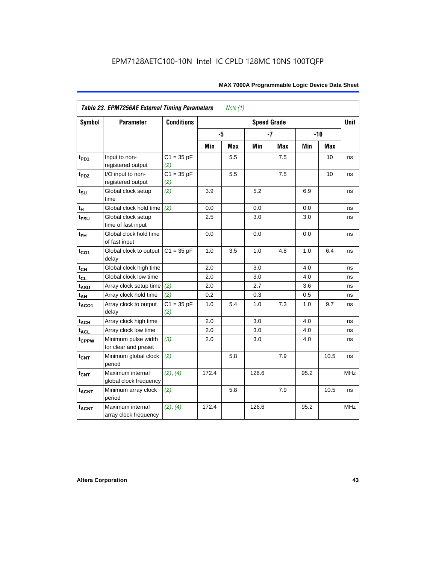| Symbol                      | <b>Parameter</b>                            | <b>Conditions</b>   |       |            | <b>Speed Grade</b> |            |      |       | <b>Unit</b> |
|-----------------------------|---------------------------------------------|---------------------|-------|------------|--------------------|------------|------|-------|-------------|
|                             |                                             |                     | -5    |            |                    | $-7$       |      | $-10$ |             |
|                             |                                             |                     | Min   | <b>Max</b> | Min                | <b>Max</b> | Min  | Max   |             |
| $t_{PD1}$                   | Input to non-<br>registered output          | $C1 = 35 pF$<br>(2) |       | 5.5        |                    | 7.5        |      | 10    | ns          |
| t <sub>PD2</sub>            | I/O input to non-<br>registered output      | $C1 = 35 pF$<br>(2) |       | 5.5        |                    | 7.5        |      | 10    | ns          |
| $t_{\scriptstyle\text{SU}}$ | Global clock setup<br>time                  | (2)                 | 3.9   |            | 5.2                |            | 6.9  |       | ns          |
| $t_H$                       | Global clock hold time                      | (2)                 | 0.0   |            | 0.0                |            | 0.0  |       | ns          |
| t <sub>FSU</sub>            | Global clock setup<br>time of fast input    |                     | 2.5   |            | 3.0                |            | 3.0  |       | ns          |
| $t_{FH}$                    | Global clock hold time<br>of fast input     |                     | 0.0   |            | $0.0\,$            |            | 0.0  |       | ns          |
| $t_{CO1}$                   | Global clock to output<br>delay             | $C1 = 35 pF$        | 1.0   | 3.5        | 1.0                | 4.8        | 1.0  | 6.4   | ns          |
| $t_{C\underline{H}}$        | Global clock high time                      |                     | 2.0   |            | 3.0                |            | 4.0  |       | ns          |
| $t_{CL}$                    | Global clock low time                       |                     | 2.0   |            | 3.0                |            | 4.0  |       | ns          |
| $t_{ASU}$                   | Array clock setup time                      | (2)                 | 2.0   |            | 2.7                |            | 3.6  |       | ns          |
| $t_{AH}$                    | Array clock hold time                       | (2)                 | 0.2   |            | 0.3                |            | 0.5  |       | ns          |
| t <sub>ACO1</sub>           | Array clock to output<br>delay              | $C1 = 35 pF$<br>(2) | 1.0   | 5.4        | 1.0                | 7.3        | 1.0  | 9.7   | ns          |
| $t_{ACH}$                   | Array clock high time                       |                     | 2.0   |            | 3.0                |            | 4.0  |       | ns          |
| <b>t<sub>ACL</sub></b>      | Array clock low time                        |                     | 2.0   |            | 3.0                |            | 4.0  |       | ns          |
| t <sub>CPPW</sub>           | Minimum pulse width<br>for clear and preset | (3)                 | 2.0   |            | 3.0                |            | 4.0  |       | ns          |
| $t_{\text{CNT}}$            | Minimum global clock<br>period              | (2)                 |       | 5.8        |                    | 7.9        |      | 10.5  | ns          |
| $f_{CNT}$                   | Maximum internal<br>global clock frequency  | (2), (4)            | 172.4 |            | 126.6              |            | 95.2 |       | <b>MHz</b>  |
| $t_{ACNT}$                  | Minimum array clock<br>period               | (2)                 |       | 5.8        |                    | 7.9        |      | 10.5  | ns          |
| <b>fACNT</b>                | Maximum internal<br>array clock frequency   | (2), (4)            | 172.4 |            | 126.6              |            | 95.2 |       | <b>MHz</b>  |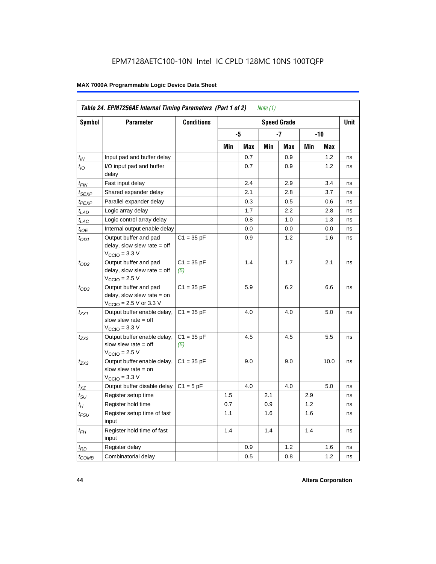| Symbol                      | <b>Parameter</b>                                                                                             | <b>Conditions</b>   |     |     |     | <b>Speed Grade</b> |     |      | <b>Unit</b> |
|-----------------------------|--------------------------------------------------------------------------------------------------------------|---------------------|-----|-----|-----|--------------------|-----|------|-------------|
|                             |                                                                                                              |                     |     | -5  |     | -7                 |     | -10  |             |
|                             |                                                                                                              |                     | Min | Max | Min | Max                | Min | Max  |             |
| $t_{IN}$                    | Input pad and buffer delay                                                                                   |                     |     | 0.7 |     | 0.9                |     | 1.2  | ns          |
| $t_{IO}$                    | I/O input pad and buffer<br>delay                                                                            |                     |     | 0.7 |     | 0.9                |     | 1.2  | ns          |
| t <sub>FIN</sub>            | Fast input delay                                                                                             |                     |     | 2.4 |     | 2.9                |     | 3.4  | ns          |
| $t_{SEXP}$                  | Shared expander delay                                                                                        |                     |     | 2.1 |     | 2.8                |     | 3.7  | ns          |
| t <sub>PEXP</sub>           | Parallel expander delay                                                                                      |                     |     | 0.3 |     | 0.5                |     | 0.6  | ns          |
| $t_{LAD}$                   | Logic array delay                                                                                            |                     |     | 1.7 |     | 2.2                |     | 2.8  | ns          |
| $t_{LAC}$                   | Logic control array delay                                                                                    |                     |     | 0.8 |     | 1.0                |     | 1.3  | ns          |
| $t_{IOE}$                   | Internal output enable delay                                                                                 |                     |     | 0.0 |     | 0.0                |     | 0.0  | ns          |
| $t_{OD1}$                   | Output buffer and pad<br>delay, slow slew rate $=$ off<br>$VCClO = 3.3 V$                                    | $C1 = 35 pF$        |     | 0.9 |     | 1.2                |     | 1.6  | ns          |
| $t_{OD2}$                   | Output buffer and pad<br>delay, slow slew rate $=$ off<br>$V_{\rm CClO}$ = 2.5 V                             | $C1 = 35 pF$<br>(5) |     | 1.4 |     | 1.7                |     | 2.1  | ns          |
| $t_{OD3}$                   | Output buffer and pad<br>delay, slow slew rate $=$ on<br>$V_{\text{CCIO}} = 2.5 \text{ V or } 3.3 \text{ V}$ | $C1 = 35 pF$        |     | 5.9 |     | 6.2                |     | 6.6  | ns          |
| t <sub>ZX1</sub>            | Output buffer enable delay,<br>slow slew rate $=$ off<br>$VCCIO = 3.3 V$                                     | $C1 = 35 pF$        |     | 4.0 |     | 4.0                |     | 5.0  | ns          |
| t <sub>ZX2</sub>            | Output buffer enable delay,<br>slow slew rate $=$ off<br>$V_{\rm CClO}$ = 2.5 V                              | $C1 = 35 pF$<br>(5) |     | 4.5 |     | 4.5                |     | 5.5  | ns          |
| $t_{ZX3}$                   | Output buffer enable delay,<br>slow slew rate $=$ on<br>$VCCIO = 3.3 V$                                      | $C1 = 35 pF$        |     | 9.0 |     | 9.0                |     | 10.0 | ns          |
| $t_{XZ}$                    | Output buffer disable delay                                                                                  | $C1 = 5pF$          |     | 4.0 |     | 4.0                |     | 5.0  | ns          |
| $t_{\scriptstyle\text{SU}}$ | Register setup time                                                                                          |                     | 1.5 |     | 2.1 |                    | 2.9 |      | ns          |
| $t_H$                       | Register hold time                                                                                           |                     | 0.7 |     | 0.9 |                    | 1.2 |      | ns          |
| $t_{\it FSU}$               | Register setup time of fast<br>input                                                                         |                     | 1.1 |     | 1.6 |                    | 1.6 |      | ns          |
| $t_{FH}$                    | Register hold time of fast<br>input                                                                          |                     | 1.4 |     | 1.4 |                    | 1.4 |      | ns          |
| $t_{RD}$                    | Register delay                                                                                               |                     |     | 0.9 |     | 1.2                |     | 1.6  | ns          |
| $t_{\text{COMB}}$           | Combinatorial delay                                                                                          |                     |     | 0.5 |     | 0.8                |     | 1.2  | ns          |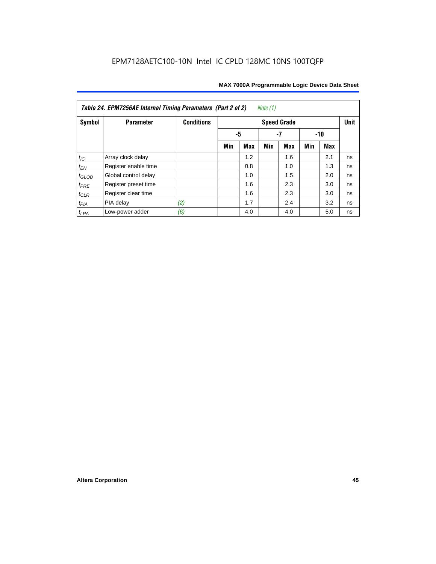| Table 24. EPM7256AE Internal Timing Parameters (Part 2 of 2)<br>Note (1) |                      |                   |                   |     |     |                    |     |     |             |  |
|--------------------------------------------------------------------------|----------------------|-------------------|-------------------|-----|-----|--------------------|-----|-----|-------------|--|
| Symbol                                                                   | <b>Parameter</b>     | <b>Conditions</b> |                   |     |     | <b>Speed Grade</b> |     |     | <b>Unit</b> |  |
|                                                                          |                      |                   | -5<br>-7<br>$-10$ |     |     |                    |     |     |             |  |
|                                                                          |                      |                   | Min               | Max | Min | Max                | Min | Max |             |  |
| $t_{\mathit{IC}}$                                                        | Array clock delay    |                   |                   | 1.2 |     | 1.6                |     | 2.1 | ns          |  |
| $t_{EN}$                                                                 | Register enable time |                   |                   | 0.8 |     | 1.0                |     | 1.3 | ns          |  |
| $t_{GLOB}$                                                               | Global control delay |                   |                   | 1.0 |     | 1.5                |     | 2.0 | ns          |  |
| $t_{PRE}$                                                                | Register preset time |                   |                   | 1.6 |     | 2.3                |     | 3.0 | ns          |  |
| $t_{CLR}$                                                                | Register clear time  |                   |                   | 1.6 |     | 2.3                |     | 3.0 | ns          |  |
| $t_{PIA}$                                                                | PIA delay            | (2)               |                   | 1.7 |     | 2.4                |     | 3.2 | ns          |  |
| $t_{LPA}$                                                                | Low-power adder      | (6)               |                   | 4.0 |     | 4.0                |     | 5.0 | ns          |  |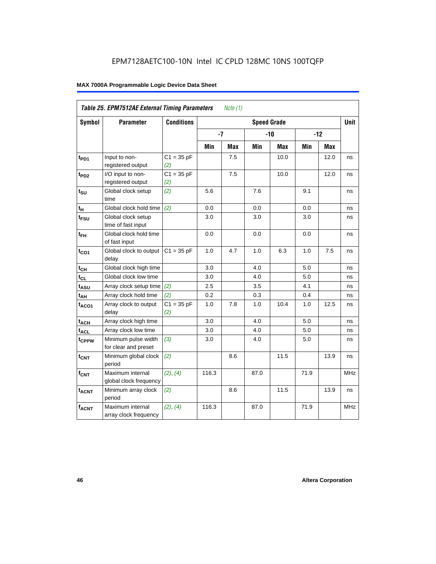|                   | Table 25. EPM7512AE External Timing Parameters<br>Note (1) |                     |       |     |                    |       |      |            |             |  |  |
|-------------------|------------------------------------------------------------|---------------------|-------|-----|--------------------|-------|------|------------|-------------|--|--|
| Symbol            | <b>Parameter</b>                                           | <b>Conditions</b>   |       |     | <b>Speed Grade</b> |       |      |            | <b>Unit</b> |  |  |
|                   |                                                            |                     | $-7$  |     |                    | $-10$ |      | $-12$      |             |  |  |
|                   |                                                            |                     | Min   | Max | Min                | Max   | Min  | <b>Max</b> |             |  |  |
| t <sub>PD1</sub>  | Input to non-<br>registered output                         | $C1 = 35 pF$<br>(2) |       | 7.5 |                    | 10.0  |      | 12.0       | ns          |  |  |
| $t_{PD2}$         | I/O input to non-<br>registered output                     | $C1 = 35 pF$<br>(2) |       | 7.5 |                    | 10.0  |      | 12.0       | ns          |  |  |
| $t_{\text{SU}}$   | Global clock setup<br>time                                 | (2)                 | 5.6   |     | 7.6                |       | 9.1  |            | ns          |  |  |
| $t_H$             | Global clock hold time                                     | (2)                 | 0.0   |     | 0.0                |       | 0.0  |            | ns          |  |  |
| t <sub>FSU</sub>  | Global clock setup<br>time of fast input                   |                     | 3.0   |     | 3.0                |       | 3.0  |            | ns          |  |  |
| $t_{FH}$          | Global clock hold time<br>of fast input                    |                     | 0.0   |     | 0.0                |       | 0.0  |            | ns          |  |  |
| $t_{CO1}$         | Global clock to output<br>delay                            | $C1 = 35 pF$        | 1.0   | 4.7 | 1.0                | 6.3   | 1.0  | 7.5        | ns          |  |  |
| $t_{CH}$          | Global clock high time                                     |                     | 3.0   |     | 4.0                |       | 5.0  |            | ns          |  |  |
| $t_{CL}$          | Global clock low time                                      |                     | 3.0   |     | 4.0                |       | 5.0  |            | ns          |  |  |
| $t_{ASU}$         | Array clock setup time                                     | (2)                 | 2.5   |     | 3.5                |       | 4.1  |            | ns          |  |  |
| $t_{AH}$          | Array clock hold time                                      | (2)                 | 0.2   |     | 0.3                |       | 0.4  |            | ns          |  |  |
| $t_{ACO1}$        | Array clock to output<br>delay                             | $C1 = 35 pF$<br>(2) | 1.0   | 7.8 | 1.0                | 10.4  | 1.0  | 12.5       | ns          |  |  |
| $t_{ACH}$         | Array clock high time                                      |                     | 3.0   |     | 4.0                |       | 5.0  |            | ns          |  |  |
| $t_{\text{ACL}}$  | Array clock low time                                       |                     | 3.0   |     | 4.0                |       | 5.0  |            | ns          |  |  |
| t <sub>CPPW</sub> | Minimum pulse width<br>for clear and preset                | (3)                 | 3.0   |     | 4.0                |       | 5.0  |            | ns          |  |  |
| t <sub>CNT</sub>  | Minimum global clock<br>period                             | (2)                 |       | 8.6 |                    | 11.5  |      | 13.9       | ns          |  |  |
| $f_{CNT}$         | Maximum internal<br>global clock frequency                 | (2), (4)            | 116.3 |     | 87.0               |       | 71.9 |            | <b>MHz</b>  |  |  |
| $t_{ACNT}$        | Minimum array clock<br>period                              | (2)                 |       | 8.6 |                    | 11.5  |      | 13.9       | ns          |  |  |
| $f_{ACNT}$        | Maximum internal<br>array clock frequency                  | (2), (4)            | 116.3 |     | 87.0               |       | 71.9 |            | <b>MHz</b>  |  |  |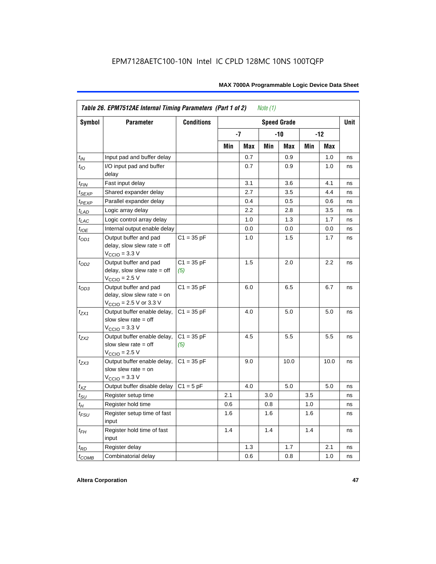|                    | Table 26. EPM7512AE Internal Timing Parameters (Part 1 of 2)<br>Note (1)                                     |                     |     |         |     |                    |     |       |      |  |  |  |
|--------------------|--------------------------------------------------------------------------------------------------------------|---------------------|-----|---------|-----|--------------------|-----|-------|------|--|--|--|
| Symbol             | <b>Parameter</b>                                                                                             | <b>Conditions</b>   |     |         |     | <b>Speed Grade</b> |     |       | Unit |  |  |  |
|                    |                                                                                                              |                     |     | -7      |     | -10                |     | $-12$ |      |  |  |  |
|                    |                                                                                                              |                     | Min | Max     | Min | Max                | Min | Max   |      |  |  |  |
| $t_{IN}$           | Input pad and buffer delay                                                                                   |                     |     | 0.7     |     | 0.9                |     | 1.0   | ns   |  |  |  |
| $t_{IO}$           | I/O input pad and buffer<br>delay                                                                            |                     |     | 0.7     |     | 0.9                |     | 1.0   | ns   |  |  |  |
| $t_{\sf FIN}$      | Fast input delay                                                                                             |                     |     | 3.1     |     | 3.6                |     | 4.1   | ns   |  |  |  |
| $t_{SEXP}$         | Shared expander delay                                                                                        |                     |     | 2.7     |     | 3.5                |     | 4.4   | ns   |  |  |  |
| t <sub>PEXP</sub>  | Parallel expander delay                                                                                      |                     |     | 0.4     |     | 0.5                |     | 0.6   | ns   |  |  |  |
| $t_{LAD}$          | Logic array delay                                                                                            |                     |     | 2.2     |     | 2.8                |     | 3.5   | ns   |  |  |  |
| $t_{LAC}$          | Logic control array delay                                                                                    |                     |     | $1.0\,$ |     | 1.3                |     | 1.7   | ns   |  |  |  |
| $t_{IOE}$          | Internal output enable delay                                                                                 |                     |     | 0.0     |     | 0.0                |     | 0.0   | ns   |  |  |  |
| $t_{OD1}$          | Output buffer and pad<br>delay, slow slew rate $=$ off<br>$V_{\text{CCIO}} = 3.3 \text{ V}$                  | $C1 = 35 pF$        |     | 1.0     |     | 1.5                |     | 1.7   | ns   |  |  |  |
| $t_{OD2}$          | Output buffer and pad<br>delay, slow slew rate $=$ off<br>$V_{\text{CCIO}} = 2.5 V$                          | $C1 = 35 pF$<br>(5) |     | 1.5     |     | 2.0                |     | 2.2   | ns   |  |  |  |
| $t_{OD3}$          | Output buffer and pad<br>delay, slow slew rate $=$ on<br>$V_{\text{CCIO}} = 2.5 \text{ V or } 3.3 \text{ V}$ | $C1 = 35 pF$        |     | 6.0     |     | 6.5                |     | 6.7   | ns   |  |  |  |
| $t_{ZX1}$          | Output buffer enable delay,<br>slow slew rate $=$ off<br>$V_{\text{CCIO}} = 3.3 \text{ V}$                   | $C1 = 35 pF$        |     | 4.0     |     | 5.0                |     | 5.0   | ns   |  |  |  |
| $t_{ZX2}$          | Output buffer enable delay,<br>slow slew rate $=$ off<br>$V_{\text{CCIO}}$ = 2.5 V                           | $C1 = 35 pF$<br>(5) |     | 4.5     |     | 5.5                |     | 5.5   | ns   |  |  |  |
| $t_{ZX3}$          | Output buffer enable delay,<br>slow slew rate $=$ on<br>$V_{\text{CCIO}} = 3.3 \text{ V}$                    | $C1 = 35 pF$        |     | 9.0     |     | 10.0               |     | 10.0  | ns   |  |  |  |
| $t_{XZ}$           | Output buffer disable delay                                                                                  | $C1 = 5pF$          |     | 4.0     |     | 5.0                |     | 5.0   | ns   |  |  |  |
| $t_{\text{SU}}$    | Register setup time                                                                                          |                     | 2.1 |         | 3.0 |                    | 3.5 |       | ns   |  |  |  |
| $t_H$              | Register hold time                                                                                           |                     | 0.6 |         | 0.8 |                    | 1.0 |       | ns   |  |  |  |
| $t_{\mathit{FSU}}$ | Register setup time of fast<br>input                                                                         |                     | 1.6 |         | 1.6 |                    | 1.6 |       | ns   |  |  |  |
| $t_{FH}$           | Register hold time of fast<br>input                                                                          |                     | 1.4 |         | 1.4 |                    | 1.4 |       | ns   |  |  |  |
| $t_{RD}$           | Register delay                                                                                               |                     |     | 1.3     |     | 1.7                |     | 2.1   | ns   |  |  |  |
| $t_{COMB}$         | Combinatorial delay                                                                                          |                     |     | 0.6     |     | 0.8                |     | 1.0   | ns   |  |  |  |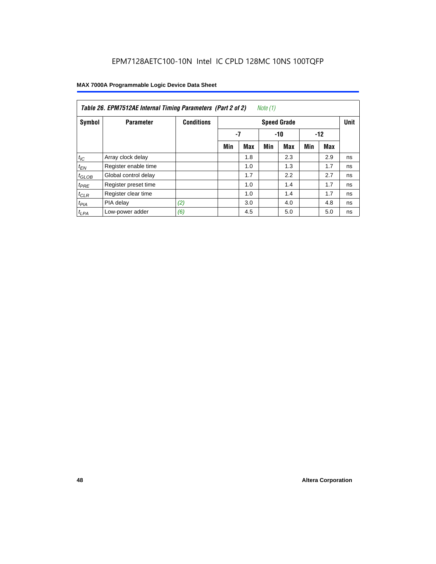| Table 26. EPM7512AE Internal Timing Parameters (Part 2 of 2)<br>Note (1) |                      |                   |     |                      |     |                    |     |     |             |  |  |
|--------------------------------------------------------------------------|----------------------|-------------------|-----|----------------------|-----|--------------------|-----|-----|-------------|--|--|
| Symbol                                                                   | <b>Parameter</b>     | <b>Conditions</b> |     |                      |     | <b>Speed Grade</b> |     |     | <b>Unit</b> |  |  |
|                                                                          |                      |                   |     | -7<br>$-10$<br>$-12$ |     |                    |     |     |             |  |  |
|                                                                          |                      |                   | Min | <b>Max</b>           | Min | Max                | Min | Max |             |  |  |
| $t_{IC}$                                                                 | Array clock delay    |                   |     | 1.8                  |     | 2.3                |     | 2.9 | ns          |  |  |
| $t_{EN}$                                                                 | Register enable time |                   |     | 1.0                  |     | 1.3                |     | 1.7 | ns          |  |  |
| $t_{GLOB}$                                                               | Global control delay |                   |     | 1.7                  |     | 2.2                |     | 2.7 | ns          |  |  |
| $t_{PRE}$                                                                | Register preset time |                   |     | 1.0                  |     | 1.4                |     | 1.7 | ns          |  |  |
| $t_{CLR}$                                                                | Register clear time  |                   |     | 1.0                  |     | 1.4                |     | 1.7 | ns          |  |  |
| t <sub>PIA</sub>                                                         | PIA delay            | (2)               |     | 3.0                  |     | 4.0                |     | 4.8 | ns          |  |  |
| $t_{LPA}$                                                                | Low-power adder      | (6)               |     | 4.5                  |     | 5.0                |     | 5.0 | ns          |  |  |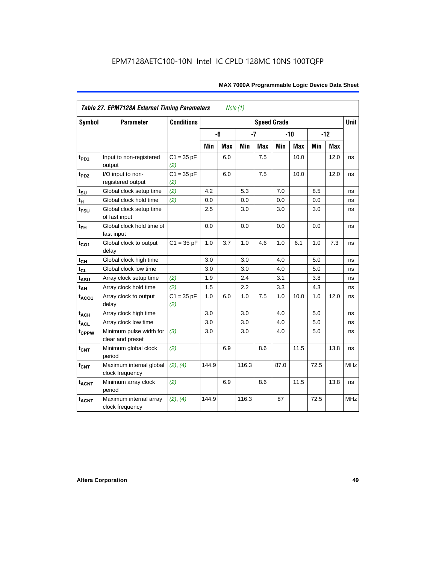| <b>Table 27. EPM7128A External Timing Parameters</b><br>Note (1) |                                             |                     |       |            |       |            |                    |            |      |            |             |
|------------------------------------------------------------------|---------------------------------------------|---------------------|-------|------------|-------|------------|--------------------|------------|------|------------|-------------|
| <b>Symbol</b>                                                    | <b>Parameter</b>                            | <b>Conditions</b>   |       |            |       |            | <b>Speed Grade</b> |            |      |            | <b>Unit</b> |
|                                                                  |                                             |                     |       | -6         |       | $-7$       |                    | $-10$      |      | $-12$      |             |
|                                                                  |                                             |                     | Min   | <b>Max</b> | Min   | <b>Max</b> | Min                | <b>Max</b> | Min  | <b>Max</b> |             |
| t <sub>PD1</sub>                                                 | Input to non-registered<br>output           | $C1 = 35 pF$<br>(2) |       | 6.0        |       | 7.5        |                    | 10.0       |      | 12.0       | ns          |
| $t_{PD2}$                                                        | I/O input to non-<br>registered output      | $C1 = 35 pF$<br>(2) |       | 6.0        |       | 7.5        |                    | 10.0       |      | 12.0       | ns          |
| t <sub>SU</sub>                                                  | Global clock setup time                     | (2)                 | 4.2   |            | 5.3   |            | 7.0                |            | 8.5  |            | ns          |
| $t_H$                                                            | Global clock hold time                      | (2)                 | 0.0   |            | 0.0   |            | 0.0                |            | 0.0  |            | ns          |
| t <sub>FSU</sub>                                                 | Global clock setup time<br>of fast input    |                     | 2.5   |            | 3.0   |            | 3.0                |            | 3.0  |            | ns          |
| $t_{FH}$                                                         | Global clock hold time of<br>fast input     |                     | 0.0   |            | 0.0   |            | 0.0                |            | 0.0  |            | ns          |
| $t_{CO1}$                                                        | Global clock to output<br>delay             | $C1 = 35 pF$        | 1.0   | 3.7        | 1.0   | 4.6        | 1.0                | 6.1        | 1.0  | 7.3        | ns          |
| $t_{CH}$                                                         | Global clock high time                      |                     | 3.0   |            | 3.0   |            | 4.0                |            | 5.0  |            | ns          |
| $t_{CL}$                                                         | Global clock low time                       |                     | 3.0   |            | 3.0   |            | 4.0                |            | 5.0  |            | ns          |
| t <sub>ASU</sub>                                                 | Array clock setup time                      | (2)                 | 1.9   |            | 2.4   |            | 3.1                |            | 3.8  |            | ns          |
| $t_{AH}$                                                         | Array clock hold time                       | (2)                 | 1.5   |            | 2.2   |            | 3.3                |            | 4.3  |            | ns          |
| $t_{ACO1}$                                                       | Array clock to output<br>delay              | $C1 = 35 pF$<br>(2) | 1.0   | 6.0        | 1.0   | 7.5        | 1.0                | 10.0       | 1.0  | 12.0       | ns          |
| $t_{ACH}$                                                        | Array clock high time                       |                     | 3.0   |            | 3.0   |            | 4.0                |            | 5.0  |            | ns          |
| $t_{\text{ACL}}$                                                 | Array clock low time                        |                     | 3.0   |            | 3.0   |            | 4.0                |            | 5.0  |            | ns          |
| tcppw                                                            | Minimum pulse width for<br>clear and preset | (3)                 | 3.0   |            | 3.0   |            | 4.0                |            | 5.0  |            | ns          |
| $t_{\text{CNT}}$                                                 | Minimum global clock<br>period              | (2)                 |       | 6.9        |       | 8.6        |                    | 11.5       |      | 13.8       | ns          |
| $f_{\mathsf{CNT}}$                                               | Maximum internal global<br>clock frequency  | (2), (4)            | 144.9 |            | 116.3 |            | 87.0               |            | 72.5 |            | <b>MHz</b>  |
| <b>t<sub>ACNT</sub></b>                                          | Minimum array clock<br>period               | (2)                 |       | 6.9        |       | 8.6        |                    | 11.5       |      | 13.8       | ns          |
| <b>fACNT</b>                                                     | Maximum internal array<br>clock frequency   | (2), (4)            | 144.9 |            | 116.3 |            | 87                 |            | 72.5 |            | <b>MHz</b>  |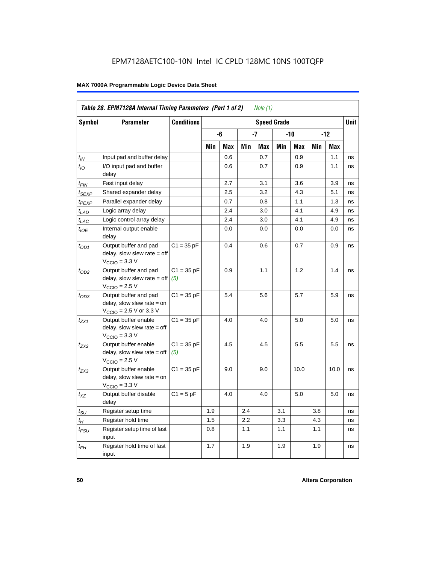| Table 28. EPM7128A Internal Timing Parameters (Part 1 of 2)<br><i>Note</i> $(1)$ |                                                                                                               |                     |                    |            |     |            |       |            |       |             |    |
|----------------------------------------------------------------------------------|---------------------------------------------------------------------------------------------------------------|---------------------|--------------------|------------|-----|------------|-------|------------|-------|-------------|----|
| <b>Symbol</b>                                                                    | <b>Parameter</b>                                                                                              | <b>Conditions</b>   | <b>Speed Grade</b> |            |     |            |       |            |       | <b>Unit</b> |    |
|                                                                                  |                                                                                                               |                     |                    | -6         |     | -7         | $-10$ |            | $-12$ |             |    |
|                                                                                  |                                                                                                               |                     | Min                | <b>Max</b> | Min | <b>Max</b> | Min   | <b>Max</b> | Min   | <b>Max</b>  |    |
| $t_{IN}$                                                                         | Input pad and buffer delay                                                                                    |                     |                    | 0.6        |     | 0.7        |       | 0.9        |       | 1.1         | ns |
| $t_{IO}$                                                                         | I/O input pad and buffer<br>delay                                                                             |                     |                    | 0.6        |     | 0.7        |       | 0.9        |       | 1.1         | ns |
| $t_{\sf FIN}$                                                                    | Fast input delay                                                                                              |                     |                    | 2.7        |     | 3.1        |       | 3.6        |       | 3.9         | ns |
| t <sub>SEXP</sub>                                                                | Shared expander delay                                                                                         |                     |                    | 2.5        |     | 3.2        |       | 4.3        |       | 5.1         | ns |
| t <sub>PEXP</sub>                                                                | Parallel expander delay                                                                                       |                     |                    | 0.7        |     | 0.8        |       | 1.1        |       | 1.3         | ns |
| $t_{LAD}$                                                                        | Logic array delay                                                                                             |                     |                    | 2.4        |     | 3.0        |       | 4.1        |       | 4.9         | ns |
| t <sub>LAC</sub>                                                                 | Logic control array delay                                                                                     |                     |                    | 2.4        |     | 3.0        |       | 4.1        |       | 4.9         | ns |
| $t_{IOE}$                                                                        | Internal output enable<br>delay                                                                               |                     |                    | 0.0        |     | 0.0        |       | 0.0        |       | 0.0         | ns |
| $t_{OD1}$                                                                        | Output buffer and pad<br>delay, slow slew rate $=$ off<br>$V_{\text{CCIO}} = 3.3 \text{ V}$                   | $C1 = 35 pF$        |                    | 0.4        |     | 0.6        |       | 0.7        |       | 0.9         | ns |
| $t_{OD2}$                                                                        | Output buffer and pad<br>$delay$ , slow slew rate = off<br>$VCCIO = 2.5 V$                                    | $C1 = 35 pF$<br>(5) |                    | 0.9        |     | 1.1        |       | 1.2        |       | 1.4         | ns |
| $t_{OD3}$                                                                        | Output buffer and pad<br>$delay$ , slow slew rate = on<br>$V_{\text{CCIO}} = 2.5 \text{ V or } 3.3 \text{ V}$ | $C1 = 35 pF$        |                    | 5.4        |     | 5.6        |       | 5.7        |       | 5.9         | ns |
| $t_{ZX1}$                                                                        | Output buffer enable<br>$delay$ , slow slew rate = off<br>$VCCIO = 3.3 V$                                     | $C1 = 35 pF$        |                    | 4.0        |     | 4.0        |       | 5.0        |       | 5.0         | ns |
| $t_{ZX2}$                                                                        | Output buffer enable<br>delay, slow slew rate $=$ off<br>$VCCIO = 2.5 V$                                      | $C1 = 35 pF$<br>(5) |                    | 4.5        |     | 4.5        |       | 5.5        |       | 5.5         | ns |
| t <sub>ZX3</sub>                                                                 | Output buffer enable<br>delay, slow slew rate $=$ on<br>$V_{\text{CCIO}} = 3.3 \text{ V}$                     | $C1 = 35 pF$        |                    | 9.0        |     | 9.0        |       | 10.0       |       | 10.0        | ns |
| $t_{XZ}$                                                                         | Output buffer disable<br>delay                                                                                | $C1 = 5pF$          |                    | 4.0        |     | 4.0        |       | 5.0        |       | 5.0         | ns |
| $t_{\scriptstyle\text{SU}}$                                                      | Register setup time                                                                                           |                     | 1.9                |            | 2.4 |            | 3.1   |            | 3.8   |             | ns |
| $t_H$                                                                            | Register hold time                                                                                            |                     | 1.5                |            | 2.2 |            | 3.3   |            | 4.3   |             | ns |
| t <sub>FSU</sub>                                                                 | Register setup time of fast<br>input                                                                          |                     | 0.8                |            | 1.1 |            | 1.1   |            | 1.1   |             | ns |
| $t_{FH}$                                                                         | Register hold time of fast<br>input                                                                           |                     | 1.7                |            | 1.9 |            | 1.9   |            | 1.9   |             | ns |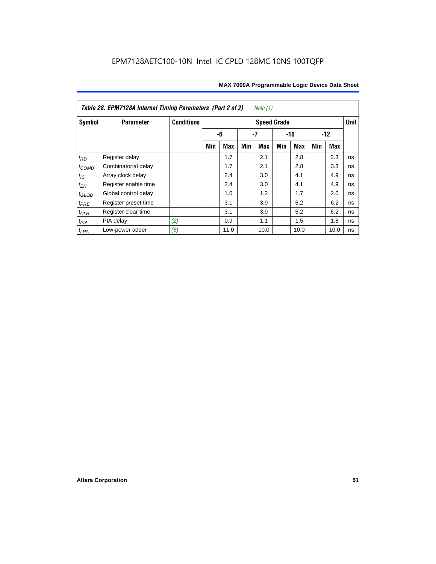| Table 28. EPM7128A Internal Timing Parameters (Part 2 of 2)<br>Note (1) |                      |                   |                    |      |     |            |       |      |       |      |    |
|-------------------------------------------------------------------------|----------------------|-------------------|--------------------|------|-----|------------|-------|------|-------|------|----|
| Symbol                                                                  | <b>Parameter</b>     | <b>Conditions</b> | <b>Speed Grade</b> |      |     |            |       |      |       |      |    |
|                                                                         |                      |                   |                    | -6   | -7  |            | $-10$ |      | $-12$ |      |    |
|                                                                         |                      |                   | Min                | Max  | Min | <b>Max</b> | Min   | Max  | Min   | Max  |    |
| $t_{RD}$                                                                | Register delay       |                   |                    | 1.7  |     | 2.1        |       | 2.8  |       | 3.3  | ns |
| $t_{COMB}$                                                              | Combinatorial delay  |                   |                    | 1.7  |     | 2.1        |       | 2.8  |       | 3.3  | ns |
| $t_{IC}$                                                                | Array clock delay    |                   |                    | 2.4  |     | 3.0        |       | 4.1  |       | 4.9  | ns |
| $t_{EN}$                                                                | Register enable time |                   |                    | 2.4  |     | 3.0        |       | 4.1  |       | 4.9  | ns |
| $t_{\text{GLOB}}$                                                       | Global control delay |                   |                    | 1.0  |     | 1.2        |       | 1.7  |       | 2.0  | ns |
| $t_{PRE}$                                                               | Register preset time |                   |                    | 3.1  |     | 3.9        |       | 5.2  |       | 6.2  | ns |
| $t_{CLR}$                                                               | Register clear time  |                   |                    | 3.1  |     | 3.9        |       | 5.2  |       | 6.2  | ns |
| $t_{PIA}$                                                               | PIA delay            | (2)               |                    | 0.9  |     | 1.1        |       | 1.5  |       | 1.8  | ns |
| $t_{LPA}$                                                               | Low-power adder      | (6)               |                    | 11.0 |     | 10.0       |       | 10.0 |       | 10.0 | ns |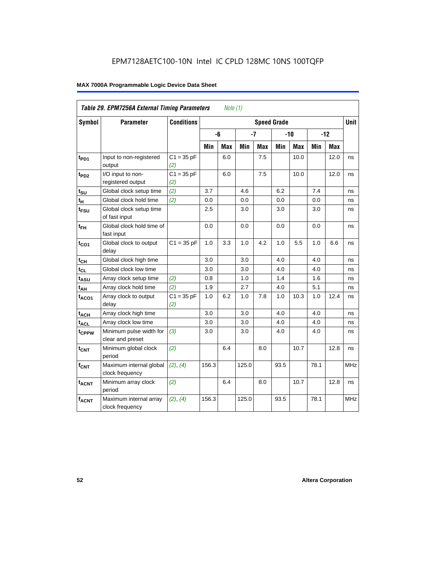| Table 29. EPM7256A External Timing Parameters<br>Note (1) |                                             |                     |                    |     |       |            |       |      |       |             |            |
|-----------------------------------------------------------|---------------------------------------------|---------------------|--------------------|-----|-------|------------|-------|------|-------|-------------|------------|
| Symbol                                                    | <b>Parameter</b>                            | <b>Conditions</b>   | <b>Speed Grade</b> |     |       |            |       |      |       | <b>Unit</b> |            |
|                                                           |                                             |                     |                    | -6  | $-7$  |            | $-10$ |      | $-12$ |             |            |
|                                                           |                                             |                     | Min                | Max | Min   | <b>Max</b> | Min   | Max  | Min   | <b>Max</b>  |            |
| t <sub>PD1</sub>                                          | Input to non-registered<br>output           | $C1 = 35 pF$<br>(2) |                    | 6.0 |       | 7.5        |       | 10.0 |       | 12.0        | ns         |
| t <sub>PD2</sub>                                          | I/O input to non-<br>registered output      | $C1 = 35 pF$<br>(2) |                    | 6.0 |       | 7.5        |       | 10.0 |       | 12.0        | ns         |
| $t_{\text{SU}}$                                           | Global clock setup time                     | (2)                 | 3.7                |     | 4.6   |            | 6.2   |      | 7.4   |             | ns         |
| $t_H$                                                     | Global clock hold time                      | (2)                 | 0.0                |     | 0.0   |            | 0.0   |      | 0.0   |             | ns         |
| $t_{\text{FSU}}$                                          | Global clock setup time<br>of fast input    |                     | 2.5                |     | 3.0   |            | 3.0   |      | 3.0   |             | ns         |
| $t_{FH}$                                                  | Global clock hold time of<br>fast input     |                     | 0.0                |     | 0.0   |            | 0.0   |      | 0.0   |             | ns         |
| $t_{CO1}$                                                 | Global clock to output<br>delay             | $C1 = 35 pF$        | 1.0                | 3.3 | 1.0   | 4.2        | 1.0   | 5.5  | 1.0   | 6.6         | ns         |
| $t_{CH}$                                                  | Global clock high time                      |                     | 3.0                |     | 3.0   |            | 4.0   |      | 4.0   |             | ns         |
| $t_{CL}$                                                  | Global clock low time                       |                     | 3.0                |     | 3.0   |            | 4.0   |      | 4.0   |             | ns         |
| t <sub>ASU</sub>                                          | Array clock setup time                      | (2)                 | 0.8                |     | 1.0   |            | 1.4   |      | 1.6   |             | ns         |
| $t_{AH}$                                                  | Array clock hold time                       | (2)                 | 1.9                |     | 2.7   |            | 4.0   |      | 5.1   |             | ns         |
| $t_{ACO1}$                                                | Array clock to output<br>delay              | $C1 = 35 pF$<br>(2) | 1.0                | 6.2 | 1.0   | 7.8        | 1.0   | 10.3 | 1.0   | 12.4        | ns         |
| $t_{ACH}$                                                 | Array clock high time                       |                     | 3.0                |     | 3.0   |            | 4.0   |      | 4.0   |             | ns         |
| $t_{\text{ACL}}$                                          | Array clock low time                        |                     | 3.0                |     | 3.0   |            | 4.0   |      | 4.0   |             | ns         |
| t <sub>CPPW</sub>                                         | Minimum pulse width for<br>clear and preset | (3)                 | 3.0                |     | 3.0   |            | 4.0   |      | 4.0   |             | ns         |
| $t_{\text{CNT}}$                                          | Minimum global clock<br>period              | (2)                 |                    | 6.4 |       | 8.0        |       | 10.7 |       | 12.8        | ns         |
| $f_{CNT}$                                                 | Maximum internal global<br>clock frequency  | (2), (4)            | 156.3              |     | 125.0 |            | 93.5  |      | 78.1  |             | <b>MHz</b> |
| t <sub>ACNT</sub>                                         | Minimum array clock<br>period               | (2)                 |                    | 6.4 |       | 8.0        |       | 10.7 |       | 12.8        | ns         |
| <b>fACNT</b>                                              | Maximum internal array<br>clock frequency   | (2), (4)            | 156.3              |     | 125.0 |            | 93.5  |      | 78.1  |             | <b>MHz</b> |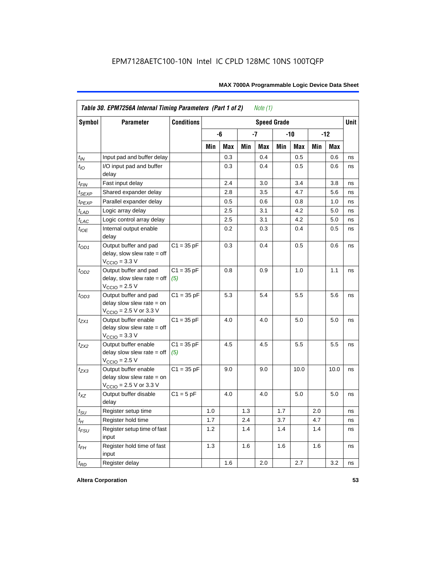| Table 30. EPM7256A Internal Timing Parameters (Part 1 of 2)<br>Note $(1)$ |                                                                                                             |                     |     |     |     |      |     |      |       |            |    |
|---------------------------------------------------------------------------|-------------------------------------------------------------------------------------------------------------|---------------------|-----|-----|-----|------|-----|------|-------|------------|----|
| <b>Symbol</b>                                                             | <b>Conditions</b><br><b>Parameter</b><br><b>Speed Grade</b>                                                 |                     |     |     |     |      |     |      |       | Unit       |    |
|                                                                           |                                                                                                             |                     |     | -6  |     | $-7$ | -10 |      | $-12$ |            |    |
|                                                                           |                                                                                                             |                     | Min | Max | Min | Max  | Min | Max  | Min   | <b>Max</b> |    |
| $t_{IN}$                                                                  | Input pad and buffer delay                                                                                  |                     |     | 0.3 |     | 0.4  |     | 0.5  |       | 0.6        | ns |
| $t_{IO}$                                                                  | I/O input pad and buffer<br>delay                                                                           |                     |     | 0.3 |     | 0.4  |     | 0.5  |       | 0.6        | ns |
| t <sub>FIN</sub>                                                          | Fast input delay                                                                                            |                     |     | 2.4 |     | 3.0  |     | 3.4  |       | 3.8        | ns |
| t <sub>SEXP</sub>                                                         | Shared expander delay                                                                                       |                     |     | 2.8 |     | 3.5  |     | 4.7  |       | 5.6        | ns |
| t <sub>PEXP</sub>                                                         | Parallel expander delay                                                                                     |                     |     | 0.5 |     | 0.6  |     | 0.8  |       | 1.0        | ns |
| t <sub>LAD</sub>                                                          | Logic array delay                                                                                           |                     |     | 2.5 |     | 3.1  |     | 4.2  |       | 5.0        | ns |
| $t_{LAC}$                                                                 | Logic control array delay                                                                                   |                     |     | 2.5 |     | 3.1  |     | 4.2  |       | 5.0        | ns |
| $t_{\mathit{IOE}}$                                                        | Internal output enable<br>delay                                                                             |                     |     | 0.2 |     | 0.3  |     | 0.4  |       | 0.5        | ns |
| $t_{OD1}$                                                                 | Output buffer and pad<br>$delay$ , slow slew rate = off<br>$V_{\text{CCIO}} = 3.3 \text{ V}$                | $C1 = 35 pF$        |     | 0.3 |     | 0.4  |     | 0.5  |       | 0.6        | ns |
| $t_{OD2}$                                                                 | Output buffer and pad<br>$delay$ , slow slew rate = off<br>$VCCIO = 2.5 V$                                  | $C1 = 35 pF$<br>(5) |     | 0.8 |     | 0.9  |     | 1.0  |       | 1.1        | ns |
| $t_{OD3}$                                                                 | Output buffer and pad<br>delay slow slew rate $=$ on<br>$V_{\text{CCIO}} = 2.5 \text{ V or } 3.3 \text{ V}$ | $C1 = 35 pF$        |     | 5.3 |     | 5.4  |     | 5.5  |       | 5.6        | ns |
| $t_{ZX1}$                                                                 | Output buffer enable<br>delay slow slew rate $=$ off<br>$VCCIO = 3.3 V$                                     | $C1 = 35 pF$        |     | 4.0 |     | 4.0  |     | 5.0  |       | 5.0        | ns |
| $t_{ZX2}$                                                                 | Output buffer enable<br>delay slow slew rate $=$ off<br>$VCCIO = 2.5 V$                                     | $C1 = 35 pF$<br>(5) |     | 4.5 |     | 4.5  |     | 5.5  |       | 5.5        | ns |
| t <sub>ZX3</sub>                                                          | Output buffer enable<br>delay slow slew rate $=$ on<br>$V_{\text{CCIO}} = 2.5 \text{ V or } 3.3 \text{ V}$  | $C1 = 35 pF$        |     | 9.0 |     | 9.0  |     | 10.0 |       | 10.0       | ns |
| $t_{XZ}$                                                                  | Output buffer disable<br>delay                                                                              | $C1 = 5pF$          |     | 4.0 |     | 4.0  |     | 5.0  |       | 5.0        | ns |
| $t_{\sf SU}$                                                              | Register setup time                                                                                         |                     | 1.0 |     | 1.3 |      | 1.7 |      | 2.0   |            | ns |
| $t_{H}$                                                                   | Register hold time                                                                                          |                     | 1.7 |     | 2.4 |      | 3.7 |      | 4.7   |            | ns |
| $t_{FSU}$                                                                 | Register setup time of fast<br>input                                                                        |                     | 1.2 |     | 1.4 |      | 1.4 |      | 1.4   |            | ns |
| $t_{FH}$                                                                  | Register hold time of fast<br>input                                                                         |                     | 1.3 |     | 1.6 |      | 1.6 |      | 1.6   |            | ns |
| $t_{RD}$                                                                  | Register delay                                                                                              |                     |     | 1.6 |     | 2.0  |     | 2.7  |       | 3.2        | ns |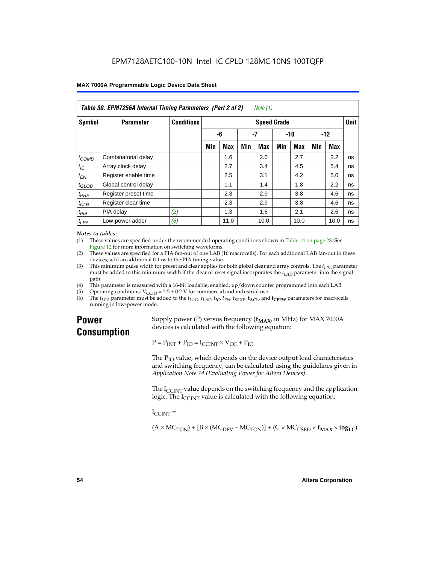| Table 30. EPM7256A Internal Timing Parameters (Part 2 of 2)<br>Note (1) |                      |                   |     |            |     |                    |       |            |       |      |             |
|-------------------------------------------------------------------------|----------------------|-------------------|-----|------------|-----|--------------------|-------|------------|-------|------|-------------|
| <b>Symbol</b>                                                           | <b>Parameter</b>     | <b>Conditions</b> |     |            |     | <b>Speed Grade</b> |       |            |       |      | <b>Unit</b> |
|                                                                         |                      |                   | -6  |            | -7  |                    | $-10$ |            | $-12$ |      |             |
|                                                                         |                      |                   | Min | <b>Max</b> | Min | Max                | Min   | <b>Max</b> | Min   | Max  |             |
| $t_{COMB}$                                                              | Combinatorial delay  |                   |     | 1.6        |     | 2.0                |       | 2.7        |       | 3.2  | ns          |
| $t_{IC}$                                                                | Array clock delay    |                   |     | 2.7        |     | 3.4                |       | 4.5        |       | 5.4  | ns          |
| $t_{EN}$                                                                | Register enable time |                   |     | 2.5        |     | 3.1                |       | 4.2        |       | 5.0  | ns          |
| $t_{\text{GLOB}}$                                                       | Global control delay |                   |     | 1.1        |     | 1.4                |       | 1.8        |       | 2.2  | ns          |
| $t_{PRE}$                                                               | Register preset time |                   |     | 2.3        |     | 2.9                |       | 3.8        |       | 4.6  | ns          |
| $t_{CLR}$                                                               | Register clear time  |                   |     | 2.3        |     | 2.9                |       | 3.8        |       | 4.6  | ns          |
| t <sub>PIA</sub>                                                        | PIA delay            | (2)               |     | 1.3        |     | 1.6                |       | 2.1        |       | 2.6  | ns          |
| $t_{LPA}$                                                               | Low-power adder      | (6)               |     | 11.0       |     | 10.0               |       | 10.0       |       | 10.0 | ns          |

#### *Notes to tables:*

(1) These values are specified under the recommended operating conditions shown in Table 14 on page 28. See Figure 12 for more information on switching waveforms.

- (2) These values are specified for a PIA fan-out of one LAB (16 macrocells). For each additional LAB fan-out in these devices, add an additional 0.1 ns to the PIA timing value.
- (3) This minimum pulse width for preset and clear applies for both global clear and array controls. The  $t_{LPA}$  parameter must be added to this minimum width if the clear or reset signal incorporates the  $t_{LAD}$  parameter into the signal path.
- (4) This parameter is measured with a 16-bit loadable, enabled, up/down counter programmed into each LAB.
- (5) Operating conditions:  $V_{\text{CCIO}} = 2.5 \pm 0.2 \text{ V}$  for commercial and industrial use.<br>(6) The  $t_{I/A}$  parameter must be added to the  $t_{I AD}$ ,  $t_{I AC}$ ,  $t_{I C}$ ,  $t_{F N}$ ,  $t_{S F Y P}$ ,  $t_{A C I}$ , and
- The  $t_{LPA}$  parameter must be added to the  $t_{LAD}$ ,  $t_{LAC}$ ,  $t_{IC}$ ,  $t_{EN}$ ,  $t_{SEXP}$ ,  $t_{ACL}$  and  $t_{CPPW}$  parameters for macrocells running in low-power mode.

# **Power Consumption**

Supply power (P) versus frequency  $(f_{MAX}$ , in MHz) for MAX 7000A devices is calculated with the following equation:

 $P = P_{INT} + P_{IO} = I_{CCINT} \times V_{CC} + P_{IO}$ 

The  $P_{IO}$  value, which depends on the device output load characteristics and switching frequency, can be calculated using the guidelines given in *Application Note 74 (Evaluating Power for Altera Devices)*.

The  $I_{\text{CUNT}}$  value depends on the switching frequency and the application logic. The  $I_{\text{CCINT}}$  value is calculated with the following equation:

 $I_{\text{CCMT}} =$ 

 $(A \times MC_{TON}) + [B \times (MC_{DEV} - MC_{TON})] + (C \times MC_{LISED} \times f_{MAX} \times tog_{LC})$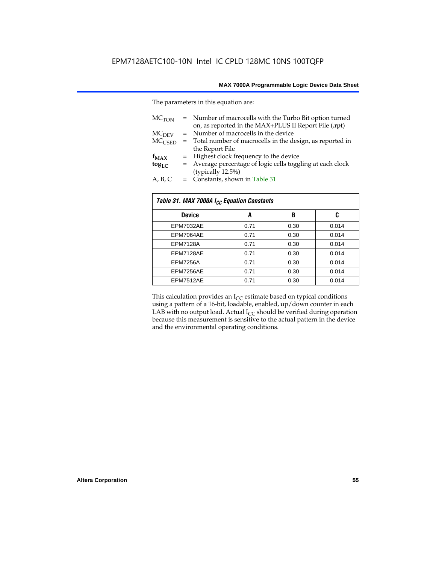The parameters in this equation are:

| MC <sub>TON</sub> | = Number of macrocells with the Turbo Bit option turned<br>on, as reported in the MAX+PLUS II Report File (.rpt) |
|-------------------|------------------------------------------------------------------------------------------------------------------|
| MC <sub>DFV</sub> | = Number of macrocells in the device                                                                             |
| $MC_{LISED}$      | = Total number of macrocells in the design, as reported in                                                       |
|                   | the Report File                                                                                                  |
| $f_{MAX}$         | = Highest clock frequency to the device                                                                          |
| $tog_{LC}$        | = Average percentage of logic cells toggling at each clock                                                       |
|                   | (typically 12.5%)                                                                                                |
| A, B, C           | = Constants, shown in Table 31                                                                                   |

| Table 31. MAX 7000A I <sub>CC</sub> Equation Constants |      |      |       |  |  |  |  |
|--------------------------------------------------------|------|------|-------|--|--|--|--|
| <b>Device</b>                                          | A    | B    | C     |  |  |  |  |
| EPM7032AE                                              | 0.71 | 0.30 | 0.014 |  |  |  |  |
| EPM7064AE                                              | 0.71 | 0.30 | 0.014 |  |  |  |  |
| <b>EPM7128A</b>                                        | 0.71 | 0.30 | 0.014 |  |  |  |  |
| EPM7128AE                                              | 0.71 | 0.30 | 0.014 |  |  |  |  |
| <b>EPM7256A</b>                                        | 0.71 | 0.30 | 0.014 |  |  |  |  |
| EPM7256AE                                              | 0.71 | 0.30 | 0.014 |  |  |  |  |
| EPM7512AE                                              | 0.71 | 0.30 | 0.014 |  |  |  |  |

This calculation provides an  $I_{CC}$  estimate based on typical conditions using a pattern of a 16-bit, loadable, enabled, up/down counter in each LAB with no output load. Actual  $I_{CC}$  should be verified during operation because this measurement is sensitive to the actual pattern in the device and the environmental operating conditions.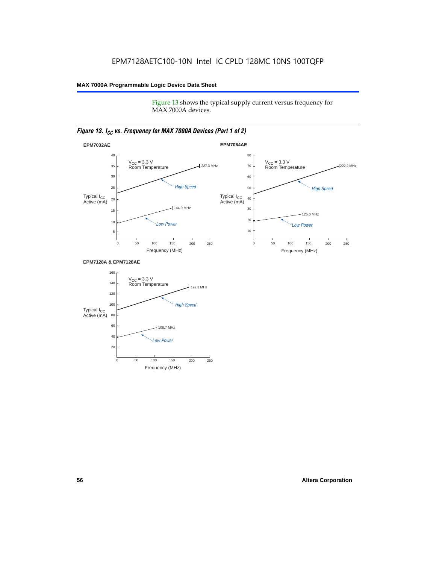Figure 13 shows the typical supply current versus frequency for MAX 7000A devices.

# *Figure 13. I<sub>CC</sub> vs. Frequency for MAX 7000A Devices (Part 1 of 2)*



#### **EPM7128A & EPM7128AE**

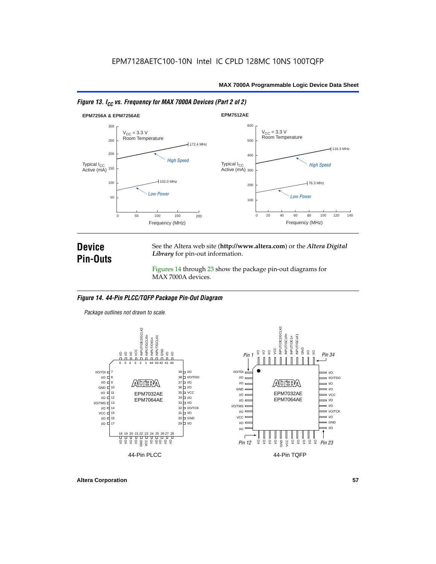



# **Device Pin-Outs**

See the Altera web site (**http://www.altera.com**) or the *Altera Digital Library* for pin-out information.

Figures 14 through 23 show the package pin-out diagrams for MAX 7000A devices.

#### *Figure 14. 44-Pin PLCC/TQFP Package Pin-Out Diagram*

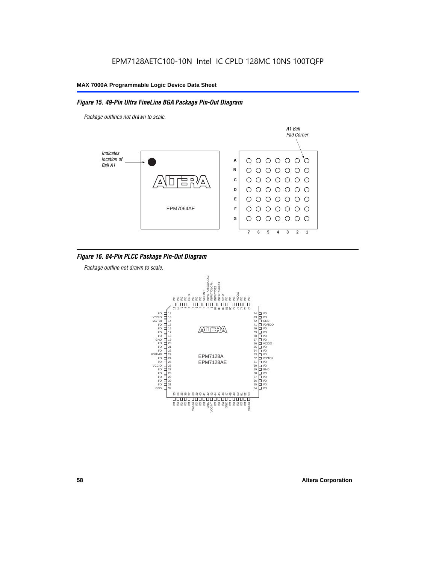# *Figure 15. 49-Pin Ultra FineLine BGA Package Pin-Out Diagram*

*Package outlines not drawn to scale.*



# *Figure 16. 84-Pin PLCC Package Pin-Out Diagram*

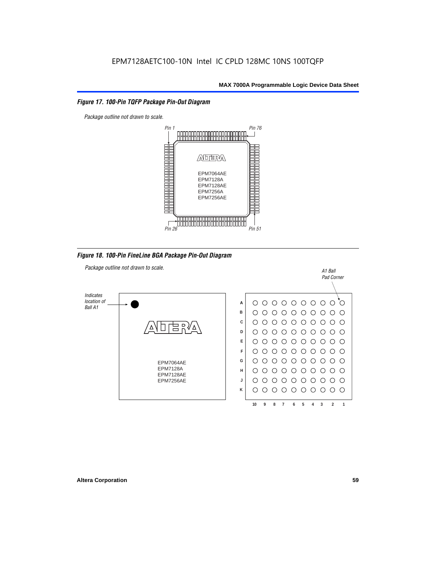### *Figure 17. 100-Pin TQFP Package Pin-Out Diagram*



*Figure 18. 100-Pin FineLine BGA Package Pin-Out Diagram*

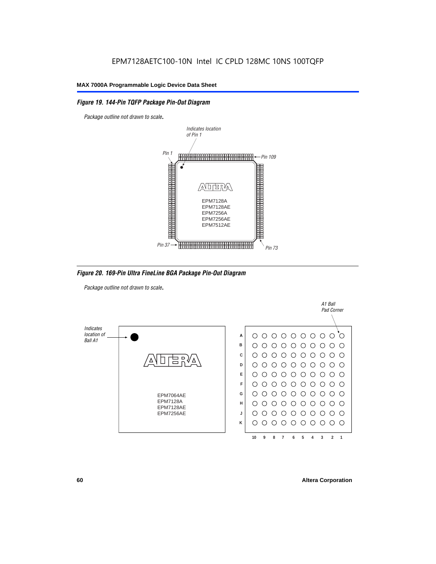# *Figure 19. 144-Pin TQFP Package Pin-Out Diagram*

*Package outline not drawn to scale*.



*Figure 20. 169-Pin Ultra FineLine BGA Package Pin-Out Diagram*

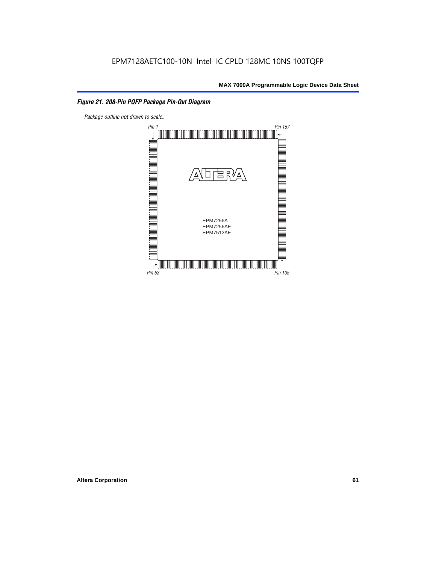# *Figure 21. 208-Pin PQFP Package Pin-Out Diagram*

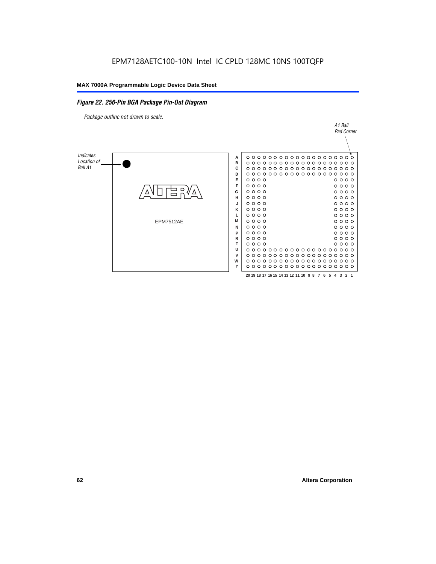### *Figure 22. 256-Pin BGA Package Pin-Out Diagram*

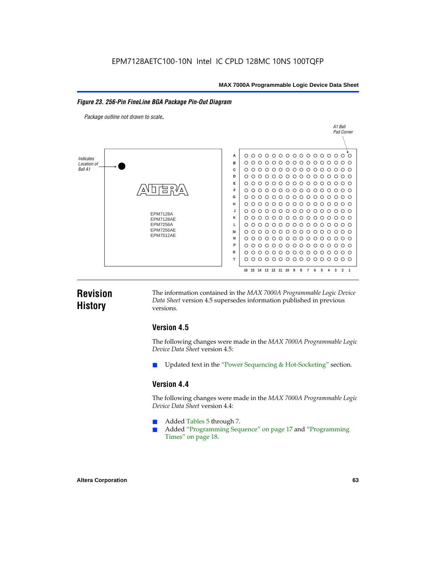#### *Figure 23. 256-Pin FineLine BGA Package Pin-Out Diagram*

*Package outline not drawn to scale*.



# **Revision History**

The information contained in the *MAX 7000A Programmable Logic Device Data Sheet* version 4.5 supersedes information published in previous versions.

# **Version 4.5**

The following changes were made in the *MAX 7000A Programmable Logic Device Data Sheet* version 4.5:

Updated text in the "Power Sequencing & Hot-Socketing" section.

# **Version 4.4**

The following changes were made in the *MAX 7000A Programmable Logic Device Data Sheet* version 4.4:

- Added Tables 5 through 7.
	- Added "Programming Sequence" on page 17 and "Programming Times" on page 18.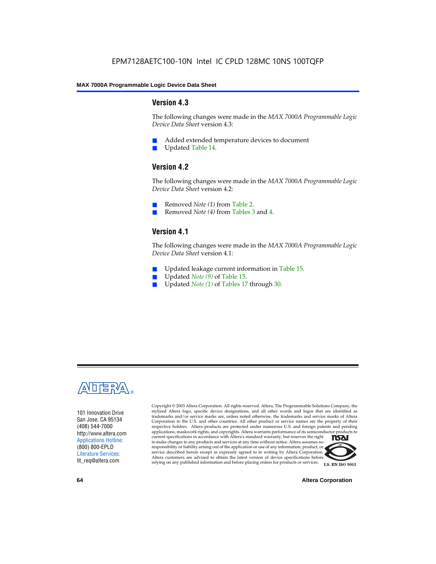# **Version 4.3**

The following changes were made in the *MAX 7000A Programmable Logic Device Data Sheet* version 4.3:

- Added extended temperature devices to document
- Updated Table 14.

# **Version 4.2**

The following changes were made in the *MAX 7000A Programmable Logic Device Data Sheet* version 4.2:

- Removed *Note (1)* from Table 2.
- Removed *Note (4)* from Tables 3 and 4.

# **Version 4.1**

The following changes were made in the *MAX 7000A Programmable Logic Device Data Sheet* version 4.1:

- Updated leakage current information in Table 15.
- Updated *Note (9)* of Table 15.
- Updated *Note* (1) of Tables 17 through 30.



101 Innovation Drive San Jose, CA 95134 (408) 544-7000 http://www.altera.com Applications Hotline: (800) 800-EPLD Literature Services: lit\_req@altera.com

Copyright © 2003 Altera Corporation. All rights reserved. Altera, The Programmable Solutions Company, the stylized Altera logo, specific device designations, and all other words and logos that are identified as trademarks and/or service marks are, unless noted otherwise, the trademarks and service marks of Altera Corporation in the U.S. and other countries. All other product or service names are the property of their respective holders. Altera products are protected under numerous U.S. and foreign patents and pending applications, maskwork rights, and copyrights. Altera warrants performance of its semiconductor products to current specifications in accordance with Altera's standard warranty, but reserves the right **TSAI** to make changes to any products and services at any time without notice. Altera assumes no responsibility or liability arising out of the application or use of any information, product, or service described herein except as expressly agreed to in writing by Altera Corporation. Altera customers are advised to obtain the latest version of device specifications before relying on any published information and before placing orders for products or services.



**64 Altera Corporation**